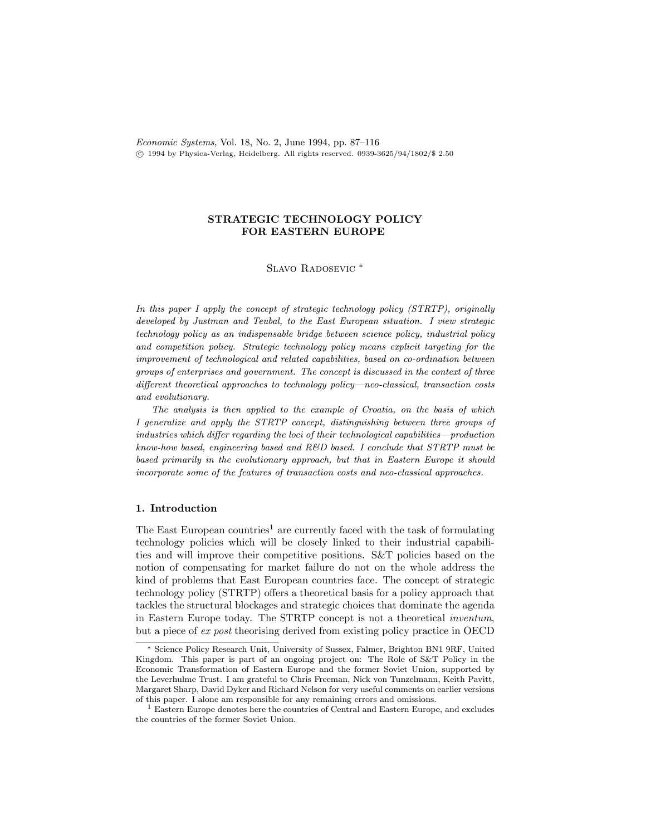Economic Systems, Vol. 18, No. 2, June 1994, pp.  $87-116$  $\overline{c}$  1994 by Physica-Verlag, Heidelberg. All rights reserved. 0939-3625/94/1802/\$ 2.50

# STRATEGIC TECHNOLOGY POLICY FOR EASTERN EUROPE

#### SLAVO RADOSEVIC<sup>\*</sup>

In this paper I apply the concept of strategic technology policy (STRTP), originally developed by Justman and Teubal, to the East European situation. I view strategic technology policy as an indispensable bridge between science policy, industrial policy and competition policy. Strategic technology policy means explicit targeting for the improvement of technological and related capabilities, based on co-ordination between groups of enterprises and government. The concept is discussed in the context of three  $differential$  approaches to technology policy—neo-classical, transaction costs and evolutionary.

The analysis is then applied to the example of Croatia, on the basis of which I generalize and apply the STRTP concept, distinguishing between three groups of  $industries$  which differ regarding the loci of their technological capabilities—production know-how based, engineering based and  $R\&D$  based. I conclude that STRTP must be based primarily in the evolutionary approach, but that in Eastern Europe it should incorporate some of the features of transaction costs and neo-classical approaches.

#### 1. Introduction

The East European countries<sup>1</sup> are currently faced with the task of formulating technology policies which will be closely linked to their industrial capabilities and will improve their competitive positions. S&T policies based on the notion of compensating for market failure do not on the whole address the kind of problems that East European countries face. The concept of strategic technology policy (STRTP) offers a theoretical basis for a policy approach that tackles the structural blockages and strategic choices that dominate the agenda in Eastern Europe today. The STRTP concept is not a theoretical inventum, but a piece of ex post theorising derived from existing policy practice in OECD

Science Policy Research Unit, University of Sussex, Falmer, Brighton BN1 9RF, United Kingdom. This paper is part of an ongoing project on: The Role of S&T Policy in the Economic Transformation of Eastern Europe and the former Soviet Union, supported by the Leverhulme Trust. I am grateful to Chris Freeman, Nick von Tunzelmann, Keith Pavitt, Margaret Sharp, David Dyker and Richard Nelson for very useful comments on earlier versions of this paper. I alone am responsible for any remaining errors and omissions.

<sup>&</sup>lt;sup>1</sup> Eastern Europe denotes here the countries of Central and Eastern Europe, and excludes the countries of the former Soviet Union.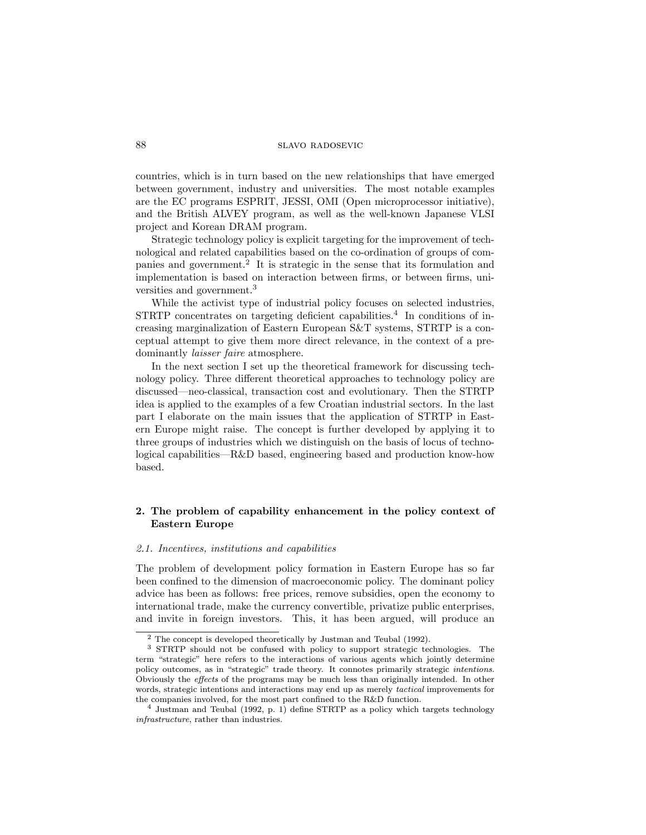## 88 slavo radosevic

countries, which is in turn based on the new relationships that have emerged between government, industry and universities. The most notable examples are the EC programs ESPRIT, JESSI, OMI (Open microprocessor initiative), and the British ALVEY program, as well as the well-known Japanese VLSI project and Korean DRAM program.

Strategic technology policy is explicit targeting for the improvement of technological and related capabilities based on the co-ordination of groups of companies and government.<sup>2</sup> It is strategic in the sense that its formulation and implementation is based on interaction between firms, or between firms, universities and government.<sup>3</sup>

While the activist type of industrial policy focuses on selected industries,  $\text{STRTP}$  concentrates on targeting deficient capabilities.<sup>4</sup> In conditions of increasing marginalization of Eastern European S&T systems, STRTP is a conceptual attempt to give them more direct relevance, in the context of a predominantly laisser faire atmosphere.

In the next section I set up the theoretical framework for discussing technology policy. Three different theoretical approaches to technology policy are discussed—neo-classical, transaction cost and evolutionary. Then the STRTP idea is applied to the examples of a few Croatian industrial sectors. In the last part I elaborate on the main issues that the application of STRTP in Eastern Europe might raise. The concept is further developed by applying it to three groups of industries which we distinguish on the basis of locus of technological capabilities— $R&D$  based, engineering based and production know-how based.

# 2. The problem of capability enhancement in the policy context of Eastern Europe

#### 2.1. Incentives, institutions and capabilities

The problem of development policy formation in Eastern Europe has so far been confined to the dimension of macroeconomic policy. The dominant policy advice has been as follows: free prices, remove subsidies, open the economy to international trade, make the currency convertible, privatize public enterprises, and invite in foreign investors. This, it has been argued, will produce an

<sup>2</sup> The concept is developed theoretically by Justman and Teubal (1992).

<sup>3</sup> STRTP should not be confused with policy to support strategic technologies. The term "strategic" here refers to the interactions of various agents which jointly determine policy outcomes, as in "strategic" trade theory. It connotes primarily strategic intentions. Obviously the effects of the programs may be much less than originally intended. In other words, strategic intentions and interactions may end up as merely tactical improvements for the companies involved, for the most part confined to the  $R&D$  function.

 $4$  Justman and Teubal (1992, p. 1) define STRTP as a policy which targets technology infrastructure, rather than industries.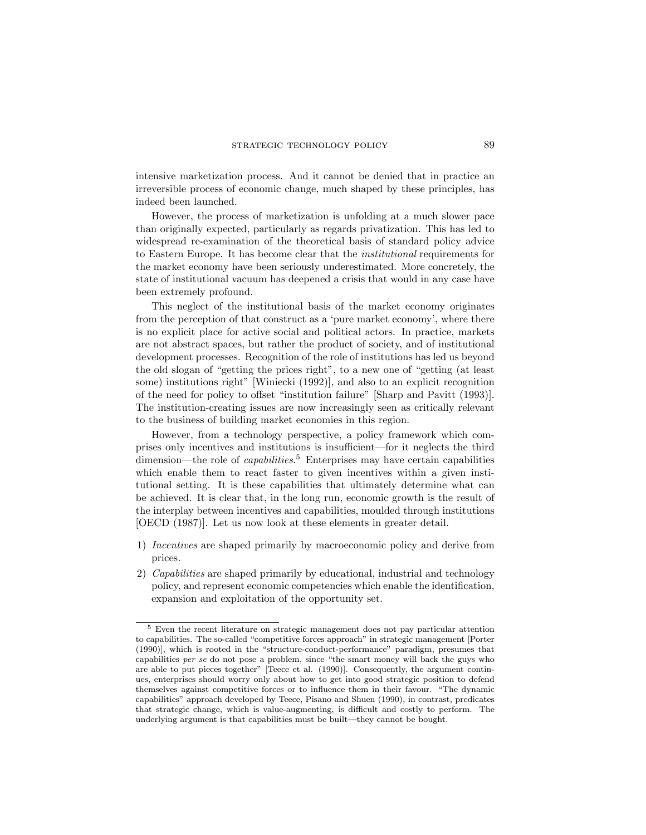intensive marketization process. And it cannot be denied that in practice an irreversible process of economic change, much shaped by these principles, has indeed been launched.

However, the process of marketization is unfolding at a much slower pace than originally expected, particularly as regards privatization. This has led to widespread re-examination of the theoretical basis of standard policy advice to Eastern Europe. It has become clear that the institutional requirements for the market economy have been seriously underestimated. More concretely, the state of institutional vacuum has deepened a crisis that would in any case have been extremely profound.

This neglect of the institutional basis of the market economy originates from the perception of that construct as a 'pure market economy', where there is no explicit place for active social and political actors. In practice, markets are not abstract spaces, but rather the product of society, and of institutional development processes. Recognition of the role of institutions has led us beyond the old slogan of "getting the prices right", to a new one of "getting (at least some) institutions right" [Winiecki (1992)], and also to an explicit recognition of the need for policy to offset "institution failure" [Sharp and Pavitt (1993)]. The institution-creating issues are now increasingly seen as critically relevant to the business of building market economies in this region.

However, from a technology perspective, a policy framework which comprises only incentives and institutions is insufficient—for it neglects the third dimension—the role of *capabilities*.<sup>5</sup> Enterprises may have certain capabilities which enable them to react faster to given incentives within a given institutional setting. It is these capabilities that ultimately determine what can be achieved. It is clear that, in the long run, economic growth is the result of the interplay between incentives and capabilities, moulded through institutions [OECD (1987)]. Let us now look at these elements in greater detail.

- 1) Incentives are shaped primarily by macroeconomic policy and derive from prices.
- 2) Capabilities are shaped primarily by educational, industrial and technology policy, and represent economic competencies which enable the identication, expansion and exploitation of the opportunity set.

<sup>5</sup> Even the recent literature on strategic management does not pay particular attention to capabilities. The so-called "competitive forces approach" in strategic management [Porter  $(1990)$ ], which is rooted in the "structure-conduct-performance" paradigm, presumes that capabilities  $per se$  do not pose a problem, since "the smart money will back the guys who are able to put pieces together" [Teece et al. (1990)]. Consequently, the argument continues, enterprises should worry only about how to get into good strategic position to defend themselves against competitive forces or to influence them in their favour. "The dynamic capabilities" approach developed by Teece, Pisano and Shuen (1990), in contrast, predicates that strategic change, which is value-augmenting, is difficult and costly to perform. The underlying argument is that capabilities must be built—they cannot be bought.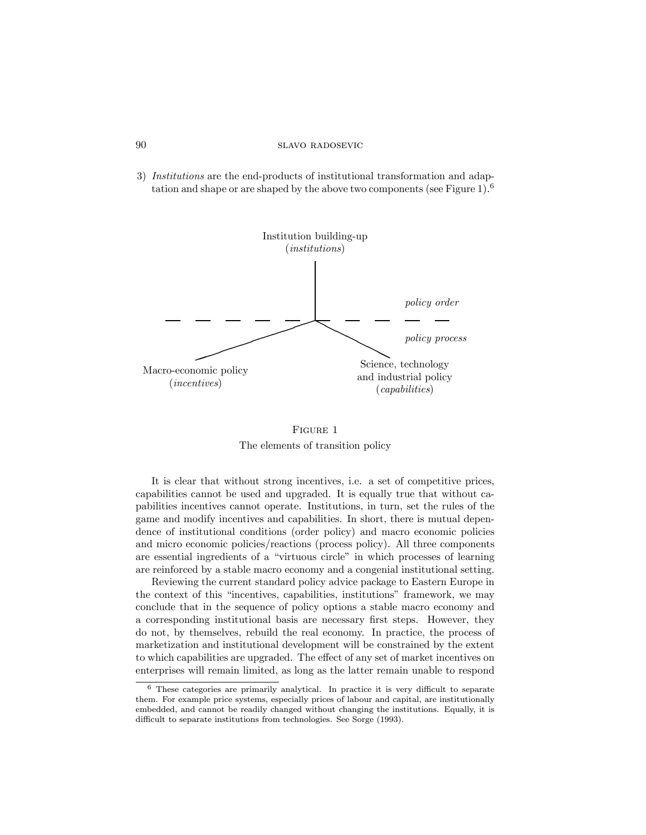3) Institutions are the end-products of institutional transformation and adaptation and shape or are shaped by the above two components (see Figure 1).<sup>6</sup>



FIGURE 1 The elements of transition policy

It is clear that without strong incentives, i.e. a set of competitive prices, capabilities cannot be used and upgraded. It is equally true that without capabilities incentives cannot operate. Institutions, in turn, set the rules of the game and modify incentives and capabilities. In short, there is mutual dependence of institutional conditions (order policy) and macro economic policies and micro economic policies/reactions (process policy). All three components are essential ingredients of a "virtuous circle" in which processes of learning are reinforced by a stable macro economy and a congenial institutional setting.

Reviewing the current standard policy advice package to Eastern Europe in the context of this \incentives, capabilities, institutions" framework, we may conclude that in the sequence of policy options a stable macro economy and a corresponding institutional basis are necessary first steps. However, they do not, by themselves, rebuild the real economy. In practice, the process of marketization and institutional development will be constrained by the extent to which capabilities are upgraded. The effect of any set of market incentives on enterprises will remain limited, as long as the latter remain unable to respond

 $6$  These categories are primarily analytical. In practice it is very difficult to separate them. For example price systems, especially prices of labour and capital, are institutionally embedded, and cannot be readily changed without changing the institutions. Equally, it is difficult to separate institutions from technologies. See Sorge (1993).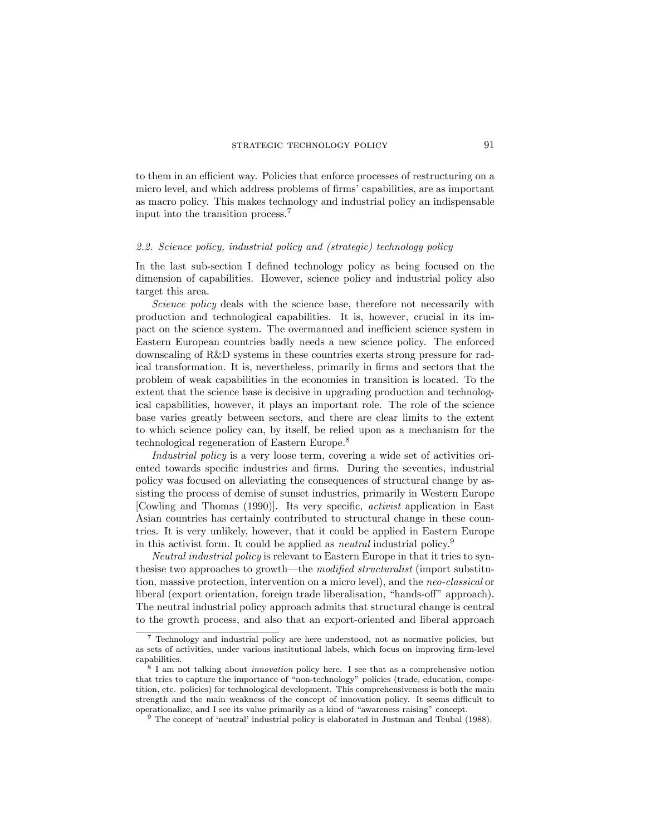## strategic technology policy 91

to them in an efficient way. Policies that enforce processes of restructuring on a micro level, and which address problems of firms' capabilities, are as important as macro policy. This makes technology and industrial policy an indispensable input into the transition process.<sup>7</sup>

#### 2.2. Science policy, industrial policy and (strategic) technology policy

In the last sub-section I defined technology policy as being focused on the dimension of capabilities. However, science policy and industrial policy also target this area.

Science policy deals with the science base, therefore not necessarily with production and technological capabilities. It is, however, crucial in its impact on the science system. The overmanned and inefficient science system in Eastern European countries badly needs a new science policy. The enforced downscaling of R&D systems in these countries exerts strong pressure for radical transformation. It is, nevertheless, primarily in firms and sectors that the problem of weak capabilities in the economies in transition is located. To the extent that the science base is decisive in upgrading production and technological capabilities, however, it plays an important role. The role of the science base varies greatly between sectors, and there are clear limits to the extent to which science policy can, by itself, be relied upon as a mechanism for the technological regeneration of Eastern Europe.<sup>8</sup>

Industrial policy is a very loose term, covering a wide set of activities oriented towards specific industries and firms. During the seventies, industrial policy was focused on alleviating the consequences of structural change by assisting the process of demise of sunset industries, primarily in Western Europe [Cowling and Thomas (1990)]. Its very specic, activist application in East Asian countries has certainly contributed to structural change in these countries. It is very unlikely, however, that it could be applied in Eastern Europe in this activist form. It could be applied as *neutral* industrial policy.<sup>9</sup>

Neutral industrial policy is relevant to Eastern Europe in that it tries to synthesise two approaches to growth—the modified structuralist (import substitution, massive protection, intervention on a micro level), and the neo-classical or liberal (export orientation, foreign trade liberalisation, "hands-off" approach). The neutral industrial policy approach admits that structural change is central to the growth process, and also that an export-oriented and liberal approach

<sup>7</sup> Technology and industrial policy are here understood, not as normative policies, but as sets of activities, under various institutional labels, which focus on improving firm-level capabilities.

<sup>&</sup>lt;sup>8</sup> I am not talking about *innovation* policy here. I see that as a comprehensive notion that tries to capture the importance of "non-technology" policies (trade, education, competition, etc. policies) for technological development. This comprehensiveness is both the main strength and the main weakness of the concept of innovation policy. It seems difficult to  $o$  perationalize, and I see its value primarily as a kind of "awareness raising" concept.

 $9$  The concept of 'neutral' industrial policy is elaborated in Justman and Teubal (1988).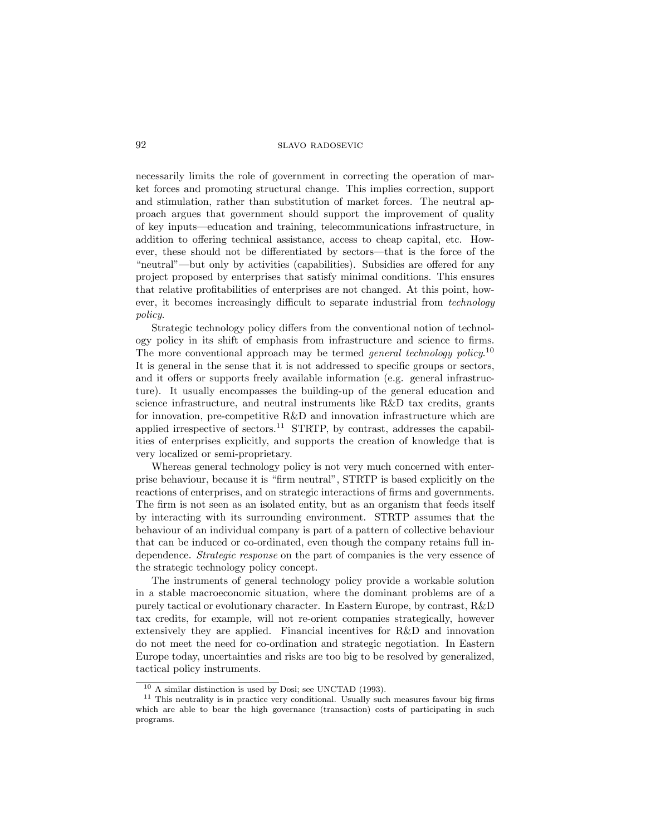# 92 slavo radosevic

necessarily limits the role of government in correcting the operation of market forces and promoting structural change. This implies correction, support and stimulation, rather than substitution of market forces. The neutral approach argues that government should support the improvement of quality of key inputs—education and training, telecommunications infrastructure, in addition to offering technical assistance, access to cheap capital, etc. However, these should not be differentiated by sectors—that is the force of the " $neutrial"$ —but only by activities (capabilities). Subsidies are offered for any project proposed by enterprises that satisfy minimal conditions. This ensures that relative protabilities of enterprises are not changed. At this point, however, it becomes increasingly difficult to separate industrial from *technology* policy.

Strategic technology policy differs from the conventional notion of technology policy in its shift of emphasis from infrastructure and science to firms. The more conventional approach may be termed *general technology policy*.<sup>10</sup> It is general in the sense that it is not addressed to specific groups or sectors, and it offers or supports freely available information (e.g. general infrastructure). It usually encompasses the building-up of the general education and science infrastructure, and neutral instruments like R&D tax credits, grants for innovation, pre-competitive R&D and innovation infrastructure which are applied irrespective of sectors.<sup>11</sup> STRTP, by contrast, addresses the capabilities of enterprises explicitly, and supports the creation of knowledge that is very localized or semi-proprietary.

Whereas general technology policy is not very much concerned with enterprise behaviour, because it is "firm neutral", STRTP is based explicitly on the reactions of enterprises, and on strategic interactions of firms and governments. The firm is not seen as an isolated entity, but as an organism that feeds itself by interacting with its surrounding environment. STRTP assumes that the behaviour of an individual company is part of a pattern of collective behaviour that can be induced or co-ordinated, even though the company retains full independence. Strategic response on the part of companies is the very essence of the strategic technology policy concept.

The instruments of general technology policy provide a workable solution in a stable macroeconomic situation, where the dominant problems are of a purely tactical or evolutionary character. In Eastern Europe, by contrast, R&D tax credits, for example, will not re-orient companies strategically, however extensively they are applied. Financial incentives for R&D and innovation do not meet the need for co-ordination and strategic negotiation. In Eastern Europe today, uncertainties and risks are too big to be resolved by generalized, tactical policy instruments.

<sup>10</sup> A similar distinction is used by Dosi; see UNCTAD (1993).

 $11$  This neutrality is in practice very conditional. Usually such measures favour big firms which are able to bear the high governance (transaction) costs of participating in such programs.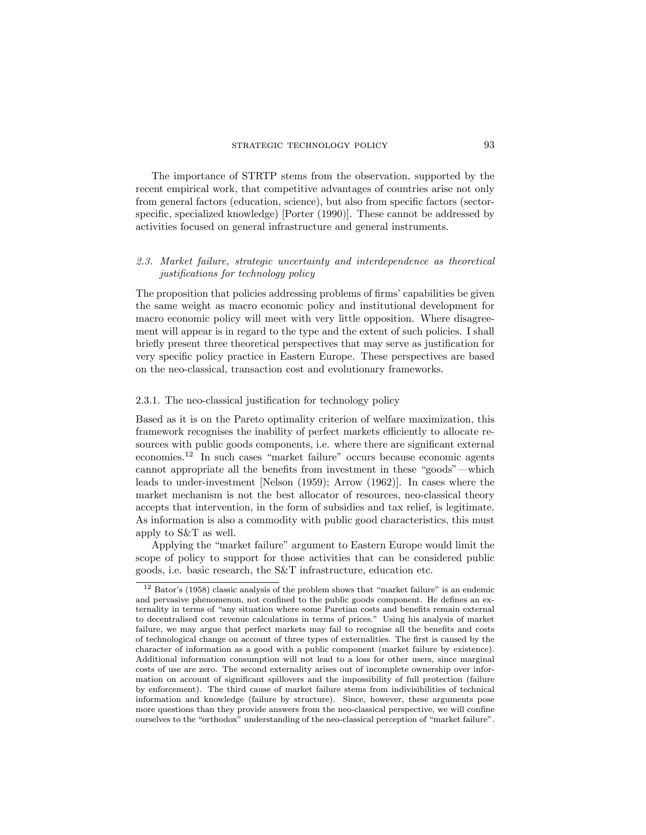The importance of STRTP stems from the observation, supported by the recent empirical work, that competitive advantages of countries arise not only from general factors (education, science), but also from specific factors (sectorspecific, specialized knowledge) [Porter (1990)]. These cannot be addressed by activities focused on general infrastructure and general instruments.

# 2.3. Market failure, strategic uncertainty and interdependence as theoretical justifications for technology policy

The proposition that policies addressing problems of firms' capabilities be given the same weight as macro economic policy and institutional development for macro economic policy will meet with very little opposition. Where disagreement will appear is in regard to the type and the extent of such policies. I shall briefly present three theoretical perspectives that may serve as justification for very specic policy practice in Eastern Europe. These perspectives are based on the neo-classical, transaction cost and evolutionary frameworks.

### 2.3.1. The neo-classical justification for technology policy

Based as it is on the Pareto optimality criterion of welfare maximization, this framework recognises the inability of perfect markets efficiently to allocate resources with public goods components, *i.e.* where there are significant external economies.<sup>12</sup> In such cases "market failure" occurs because economic agents cannot appropriate all the benefits from investment in these "goods"—which leads to under-investment [Nelson (1959); Arrow (1962)]. In cases where the market mechanism is not the best allocator of resources, neo-classical theory accepts that intervention, in the form of subsidies and tax relief, is legitimate. As information is also a commodity with public good characteristics, this must apply to S&T as well.

Applying the \market failure" argument to Eastern Europe would limit the scope of policy to support for those activities that can be considered public goods, i.e. basic research, the S&T infrastructure, education etc.

 $12$  Bator's (1958) classic analysis of the problem shows that "market failure" is an endemic and pervasive phenomenon, not confined to the public goods component. He defines an externality in terms of "any situation where some Paretian costs and benefits remain external to decentralised cost revenue calculations in terms of prices." Using his analysis of market failure, we may argue that perfect markets may fail to recognise all the benefits and costs of technological change on account of three types of externalities. The first is caused by the character of information as a good with a public component (market failure by existence). Additional information consumption will not lead to a loss for other users, since marginal costs of use are zero. The second externality arises out of incomplete ownership over information on account of significant spillovers and the impossibility of full protection (failure by enforcement). The third cause of market failure stems from indivisibilities of technical information and knowledge (failure by structure). Since, however, these arguments pose more questions than they provide answers from the neo-classical perspective, we will confine ourselves to the "orthodox" understanding of the neo-classical perception of "market failure".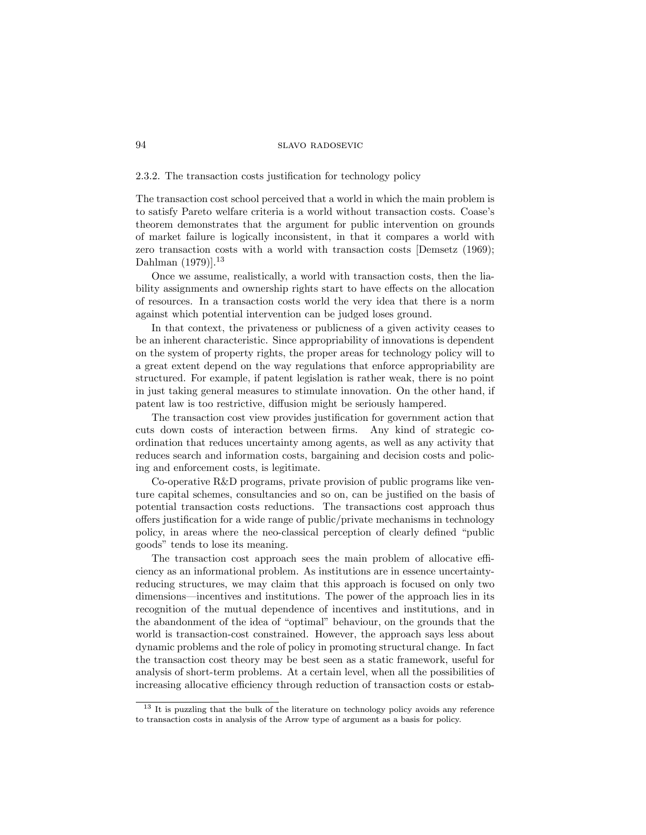#### 2.3.2. The transaction costs justification for technology policy

The transaction cost school perceived that a world in which the main problem is to satisfy Pareto welfare criteria is a world without transaction costs. Coase's theorem demonstrates that the argument for public intervention on grounds of market failure is logically inconsistent, in that it compares a world with zero transaction costs with a world with transaction costs [Demsetz (1969); Dahlman (1979)].<sup>13</sup>

Once we assume, realistically, a world with transaction costs, then the liability assignments and ownership rights start to have effects on the allocation of resources. In a transaction costs world the very idea that there is a norm against which potential intervention can be judged loses ground.

In that context, the privateness or publicness of a given activity ceases to be an inherent characteristic. Since appropriability of innovations is dependent on the system of property rights, the proper areas for technology policy will to a great extent depend on the way regulations that enforce appropriability are structured. For example, if patent legislation is rather weak, there is no point in just taking general measures to stimulate innovation. On the other hand, if patent law is too restrictive, diffusion might be seriously hampered.

The transaction cost view provides justication for government action that cuts down costs of interaction between firms. Any kind of strategic coordination that reduces uncertainty among agents, as well as any activity that reduces search and information costs, bargaining and decision costs and policing and enforcement costs, is legitimate.

Co-operative R&D programs, private provision of public programs like venture capital schemes, consultancies and so on, can be justied on the basis of potential transaction costs reductions. The transactions cost approach thus offers justification for a wide range of public/private mechanisms in technology policy, in areas where the neo-classical perception of clearly defined "public goods" tends to lose its meaning.

The transaction cost approach sees the main problem of allocative efficiency as an informational problem. As institutions are in essence uncertaintyreducing structures, we may claim that this approach is focused on only two dimensions—incentives and institutions. The power of the approach lies in its recognition of the mutual dependence of incentives and institutions, and in the abandonment of the idea of "optimal" behaviour, on the grounds that the world is transaction-cost constrained. However, the approach says less about dynamic problems and the role of policy in promoting structural change. In fact the transaction cost theory may be best seen as a static framework, useful for analysis of short-term problems. At a certain level, when all the possibilities of increasing allocative efficiency through reduction of transaction costs or estab-

<sup>&</sup>lt;sup>13</sup> It is puzzling that the bulk of the literature on technology policy avoids any reference to transaction costs in analysis of the Arrow type of argument as a basis for policy.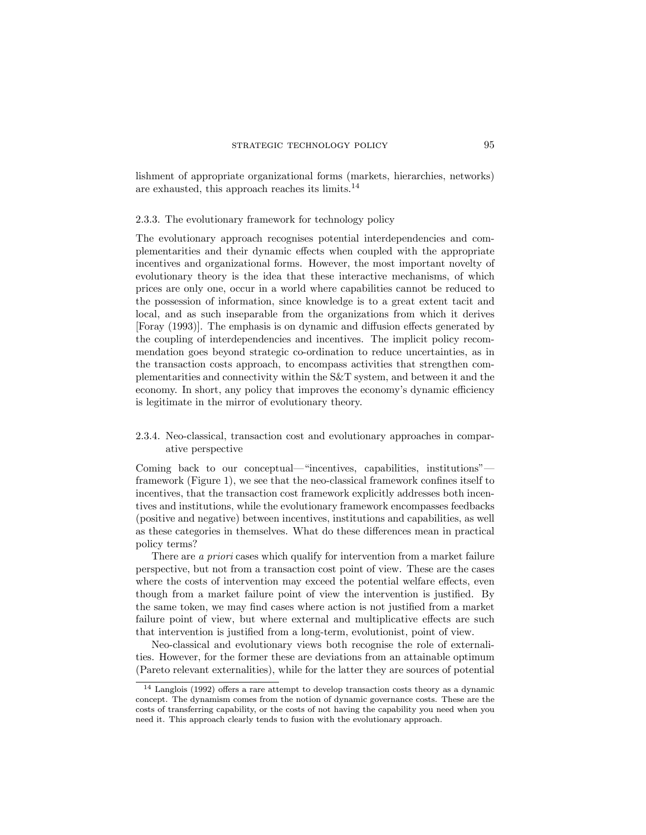lishment of appropriate organizational forms (markets, hierarchies, networks) are exhausted, this approach reaches its limits.<sup>14</sup>

#### 2.3.3. The evolutionary framework for technology policy

The evolutionary approach recognises potential interdependencies and complementarities and their dynamic effects when coupled with the appropriate incentives and organizational forms. However, the most important novelty of evolutionary theory is the idea that these interactive mechanisms, of which prices are only one, occur in a world where capabilities cannot be reduced to the possession of information, since knowledge is to a great extent tacit and local, and as such inseparable from the organizations from which it derives [Foray (1993)]. The emphasis is on dynamic and diffusion effects generated by the coupling of interdependencies and incentives. The implicit policy recommendation goes beyond strategic co-ordination to reduce uncertainties, as in the transaction costs approach, to encompass activities that strengthen complementarities and connectivity within the S&T system, and between it and the economy. In short, any policy that improves the economy's dynamic efficiency is legitimate in the mirror of evolutionary theory.

# 2.3.4. Neo-classical, transaction cost and evolutionary approaches in comparative perspective

Coming back to our conceptual—"incentives, capabilities, institutions" $$ framework (Figure 1), we see that the neo-classical framework confines itself to incentives, that the transaction cost framework explicitly addresses both incentives and institutions, while the evolutionary framework encompasses feedbacks (positive and negative) between incentives, institutions and capabilities, as well as these categories in themselves. What do these differences mean in practical policy terms?

There are a priori cases which qualify for intervention from a market failure perspective, but not from a transaction cost point of view. These are the cases where the costs of intervention may exceed the potential welfare effects, even though from a market failure point of view the intervention is justied. By the same token, we may find cases where action is not justified from a market failure point of view, but where external and multiplicative effects are such that intervention is justied from a long-term, evolutionist, point of view.

Neo-classical and evolutionary views both recognise the role of externalities. However, for the former these are deviations from an attainable optimum (Pareto relevant externalities), while for the latter they are sources of potential

 $14$  Langlois (1992) offers a rare attempt to develop transaction costs theory as a dynamic concept. The dynamism comes from the notion of dynamic governance costs. These are the costs of transferring capability, or the costs of not having the capability you need when you need it. This approach clearly tends to fusion with the evolutionary approach.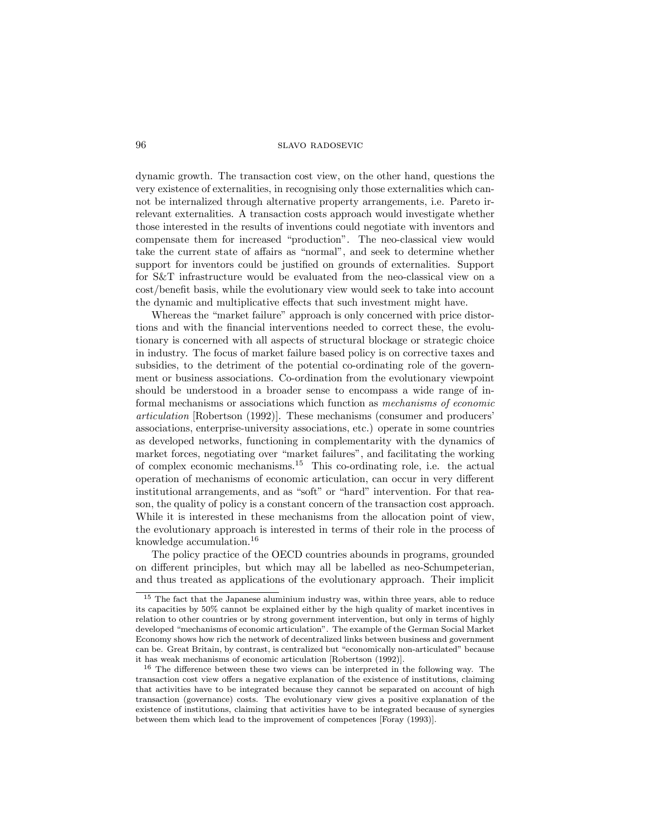dynamic growth. The transaction cost view, on the other hand, questions the very existence of externalities, in recognising only those externalities which cannot be internalized through alternative property arrangements, i.e. Pareto irrelevant externalities. A transaction costs approach would investigate whether those interested in the results of inventions could negotiate with inventors and compensate them for increased "production". The neo-classical view would take the current state of affairs as "normal", and seek to determine whether support for inventors could be justied on grounds of externalities. Support for S&T infrastructure would be evaluated from the neo-classical view on a cost/benefit basis, while the evolutionary view would seek to take into account the dynamic and multiplicative effects that such investment might have.

Whereas the "market failure" approach is only concerned with price distortions and with the financial interventions needed to correct these, the evolutionary is concerned with all aspects of structural blockage or strategic choice in industry. The focus of market failure based policy is on corrective taxes and subsidies, to the detriment of the potential co-ordinating role of the government or business associations. Co-ordination from the evolutionary viewpoint should be understood in a broader sense to encompass a wide range of informal mechanisms or associations which function as mechanisms of economic articulation [Robertson (1992)]. These mechanisms (consumer and producers' associations, enterprise-university associations, etc.) operate in some countries as developed networks, functioning in complementarity with the dynamics of market forces, negotiating over "market failures", and facilitating the working of complex economic mechanisms.<sup>15</sup> This co-ordinating role, i.e. the actual operation of mechanisms of economic articulation, can occur in very different institutional arrangements, and as "soft" or "hard" intervention. For that reason, the quality of policy is a constant concern of the transaction cost approach. While it is interested in these mechanisms from the allocation point of view, the evolutionary approach is interested in terms of their role in the process of knowledge accumulation.<sup>16</sup>

The policy practice of the OECD countries abounds in programs, grounded on different principles, but which may all be labelled as neo-Schumpeterian, and thus treated as applications of the evolutionary approach. Their implicit

<sup>&</sup>lt;sup>15</sup> The fact that the Japanese aluminium industry was, within three years, able to reduce its capacities by 50% cannot be explained either by the high quality of market incentives in relation to other countries or by strong government intervention, but only in terms of highly developed "mechanisms of economic articulation". The example of the German Social Market Economy shows how rich the network of decentralized links between business and government can be. Great Britain, by contrast, is centralized but \economically non-articulated" because it has weak mechanisms of economic articulation [Robertson (1992)].

 $16$  The difference between these two views can be interpreted in the following way. The transaction cost view offers a negative explanation of the existence of institutions, claiming that activities have to be integrated because they cannot be separated on account of high transaction (governance) costs. The evolutionary view gives a positive explanation of the existence of institutions, claiming that activities have to be integrated because of synergies between them which lead to the improvement of competences [Foray (1993)].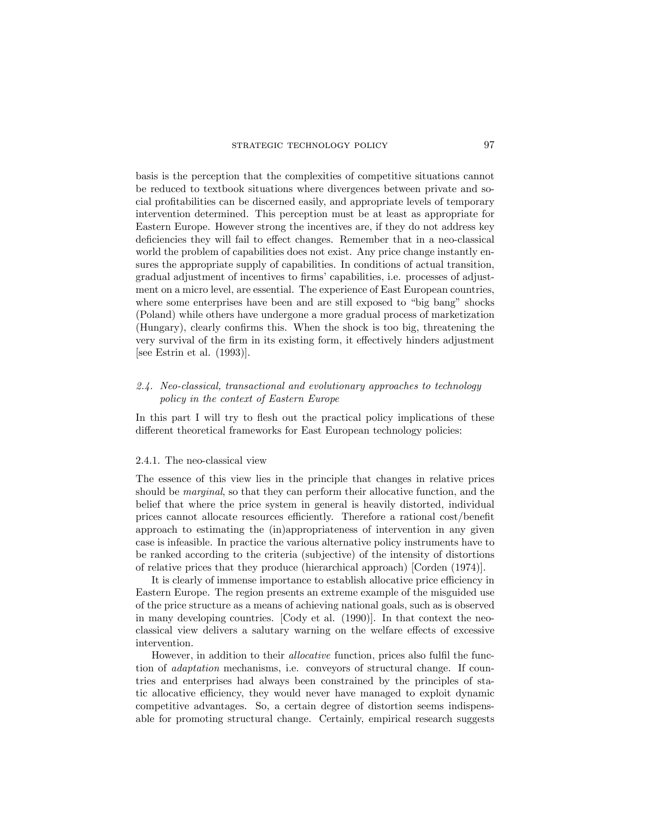basis is the perception that the complexities of competitive situations cannot be reduced to textbook situations where divergences between private and social protabilities can be discerned easily, and appropriate levels of temporary intervention determined. This perception must be at least as appropriate for Eastern Europe. However strong the incentives are, if they do not address key deficiencies they will fail to effect changes. Remember that in a neo-classical world the problem of capabilities does not exist. Any price change instantly ensures the appropriate supply of capabilities. In conditions of actual transition, gradual adjustment of incentives to firms' capabilities, i.e. processes of adjustment on a micro level, are essential. The experience of East European countries, where some enterprises have been and are still exposed to "big bang" shocks (Poland) while others have undergone a more gradual process of marketization (Hungary), clearly conrms this. When the shock is too big, threatening the very survival of the firm in its existing form, it effectively hinders adjustment [see Estrin et al. (1993)].

# 2.4. Neo-classical, transactional and evolutionary approaches to technology policy in the context of Eastern Europe

In this part I will try to flesh out the practical policy implications of these different theoretical frameworks for East European technology policies:

#### 2.4.1. The neo-classical view

The essence of this view lies in the principle that changes in relative prices should be *marginal*, so that they can perform their allocative function, and the belief that where the price system in general is heavily distorted, individual prices cannot allocate resources efficiently. Therefore a rational cost/benefit approach to estimating the (in)appropriateness of intervention in any given case is infeasible. In practice the various alternative policy instruments have to be ranked according to the criteria (subjective) of the intensity of distortions of relative prices that they produce (hierarchical approach) [Corden (1974)].

It is clearly of immense importance to establish allocative price efficiency in Eastern Europe. The region presents an extreme example of the misguided use of the price structure as a means of achieving national goals, such as is observed in many developing countries. [Cody et al. (1990)]. In that context the neoclassical view delivers a salutary warning on the welfare effects of excessive intervention.

However, in addition to their *allocative* function, prices also fulfil the function of adaptation mechanisms, i.e. conveyors of structural change. If countries and enterprises had always been constrained by the principles of static allocative efficiency, they would never have managed to exploit dynamic competitive advantages. So, a certain degree of distortion seems indispensable for promoting structural change. Certainly, empirical research suggests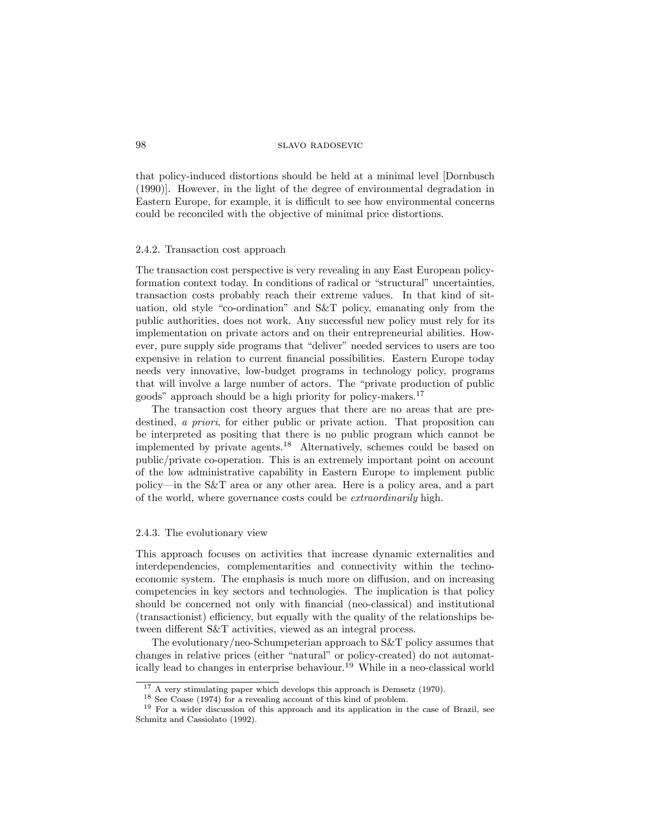# 98 slavo radosevic

that policy-induced distortions should be held at a minimal level [Dornbusch (1990)]. However, in the light of the degree of environmental degradation in Eastern Europe, for example, it is difficult to see how environmental concerns could be reconciled with the objective of minimal price distortions.

#### 2.4.2. Transaction cost approach

The transaction cost perspective is very revealing in any East European policyformation context today. In conditions of radical or "structural" uncertainties, transaction costs probably reach their extreme values. In that kind of situation, old style "co-ordination" and  $S\&T$  policy, emanating only from the public authorities, does not work. Any successful new policy must rely for its implementation on private actors and on their entrepreneurial abilities. However, pure supply side programs that "deliver" needed services to users are too expensive in relation to current nancial possibilities. Eastern Europe today needs very innovative, low-budget programs in technology policy, programs that will involve a large number of actors. The \private production of public goods" approach should be a high priority for policy-makers.<sup>17</sup>

The transaction cost theory argues that there are no areas that are predestined, a priori, for either public or private action. That proposition can be interpreted as positing that there is no public program which cannot be implemented by private agents.<sup>18</sup> Alternatively, schemes could be based on public/private co-operation. This is an extremely important point on account of the low administrative capability in Eastern Europe to implement public policy|in the S&T area or any other area. Here is a policy area, and a part of the world, where governance costs could be extraordinarily high.

#### 2.4.3. The evolutionary view

This approach focuses on activities that increase dynamic externalities and interdependencies, complementarities and connectivity within the technoeconomic system. The emphasis is much more on diffusion, and on increasing competencies in key sectors and technologies. The implication is that policy should be concerned not only with nancial (neo-classical) and institutional (transactionist) efficiency, but equally with the quality of the relationships between different S&T activities, viewed as an integral process.

The evolutionary/neo-Schumpeterian approach to S&T policy assumes that changes in relative prices (either "natural" or policy-created) do not automatically lead to changes in enterprise behaviour.<sup>19</sup> While in a neo-classical world

<sup>&</sup>lt;sup>17</sup> A very stimulating paper which develops this approach is Demsetz (1970).

<sup>18</sup> See Coase (1974) for a revealing account of this kind of problem.

<sup>19</sup> For a wider discussion of this approach and its application in the case of Brazil, see Schmitz and Cassiolato (1992).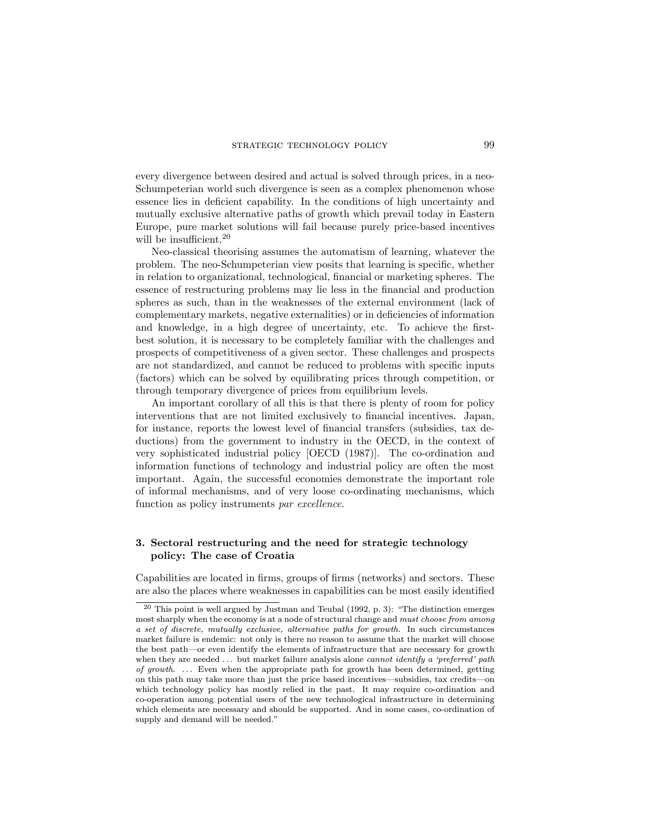every divergence between desired and actual is solved through prices, in a neo-Schumpeterian world such divergence is seen as a complex phenomenon whose essence lies in deficient capability. In the conditions of high uncertainty and mutually exclusive alternative paths of growth which prevail today in Eastern Europe, pure market solutions will fail because purely price-based incentives will be insufficient.  $\!\!^{20}$ 

Neo-classical theorising assumes the automatism of learning, whatever the problem. The neo-Schumpeterian view posits that learning is specic, whether in relation to organizational, technological, financial or marketing spheres. The essence of restructuring problems may lie less in the nancial and production spheres as such, than in the weaknesses of the external environment (lack of complementary markets, negative externalities) or in deficiencies of information and knowledge, in a high degree of uncertainty, etc. To achieve the firstbest solution, it is necessary to be completely familiar with the challenges and prospects of competitiveness of a given sector. These challenges and prospects are not standardized, and cannot be reduced to problems with specific inputs (factors) which can be solved by equilibrating prices through competition, or through temporary divergence of prices from equilibrium levels.

An important corollary of all this is that there is plenty of room for policy interventions that are not limited exclusively to financial incentives. Japan, for instance, reports the lowest level of financial transfers (subsidies, tax deductions) from the government to industry in the OECD, in the context of very sophisticated industrial policy [OECD (1987)]. The co-ordination and information functions of technology and industrial policy are often the most important. Again, the successful economies demonstrate the important role of informal mechanisms, and of very loose co-ordinating mechanisms, which function as policy instruments par excellence.

# 3. Sectoral restructuring and the need for strategic technology policy: The case of Croatia

Capabilities are located in firms, groups of firms (networks) and sectors. These are also the places where weaknesses in capabilities can be most easily identied

 $20$  This point is well argued by Justman and Teubal (1992, p. 3): "The distinction emerges most sharply when the economy is at a node of structural change and must choose from among a set of discrete, mutually exclusive, alternative paths for growth. In such circumstances market failure is endemic: not only is there no reason to assume that the market will choose the best path—or even identify the elements of infrastructure that are necessary for growth when they are needed  $\dots$  but market failure analysis alone *cannot identify a 'preferred' path* of growth. ... Even when the appropriate path for growth has been determined, getting on this path may take more than just the price based incentives—subsidies, tax credits—on which technology policy has mostly relied in the past. It may require co-ordination and co-operation among potential users of the new technological infrastructure in determining which elements are necessary and should be supported. And in some cases, co-ordination of supply and demand will be needed."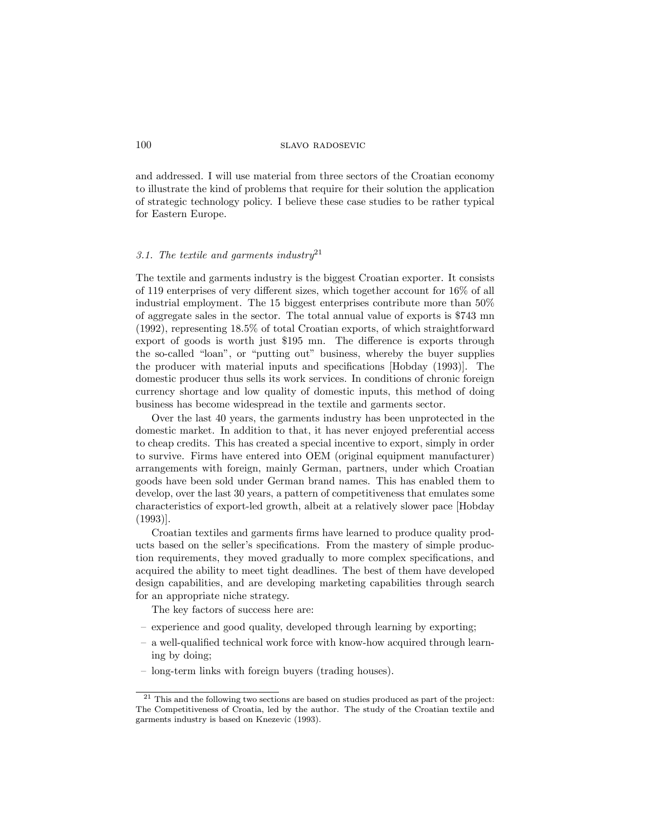and addressed. I will use material from three sectors of the Croatian economy to illustrate the kind of problems that require for their solution the application of strategic technology policy. I believe these case studies to be rather typical for Eastern Europe.

# 3.1. The textile and garments industry<sup>21</sup>

The textile and garments industry is the biggest Croatian exporter. It consists of 119 enterprises of very different sizes, which together account for  $16\%$  of all industrial employment. The 15 biggest enterprises contribute more than 50% of aggregate sales in the sector. The total annual value of exports is \$743 mn (1992), representing 18.5% of total Croatian exports, of which straightforward export of goods is worth just \$195 mn. The difference is exports through the so-called "loan", or "putting out" business, whereby the buyer supplies the producer with material inputs and specications [Hobday (1993)]. The domestic producer thus sells its work services. In conditions of chronic foreign currency shortage and low quality of domestic inputs, this method of doing business has become widespread in the textile and garments sector.

Over the last 40 years, the garments industry has been unprotected in the domestic market. In addition to that, it has never enjoyed preferential access to cheap credits. This has created a special incentive to export, simply in order to survive. Firms have entered into OEM (original equipment manufacturer) arrangements with foreign, mainly German, partners, under which Croatian goods have been sold under German brand names. This has enabled them to develop, over the last 30 years, a pattern of competitiveness that emulates some characteristics of export-led growth, albeit at a relatively slower pace [Hobday (1993)].

Croatian textiles and garments firms have learned to produce quality products based on the seller's specifications. From the mastery of simple production requirements, they moved gradually to more complex specications, and acquired the ability to meet tight deadlines. The best of them have developed design capabilities, and are developing marketing capabilities through search for an appropriate niche strategy.

The key factors of success here are:

- experience and good quality, developed through learning by exporting;
- a well-qualified technical work force with know-how acquired through learning by doing;
- long-term links with foreign buyers (trading houses).

 $21$  This and the following two sections are based on studies produced as part of the project: The Competitiveness of Croatia, led by the author. The study of the Croatian textile and garments industry is based on Knezevic (1993).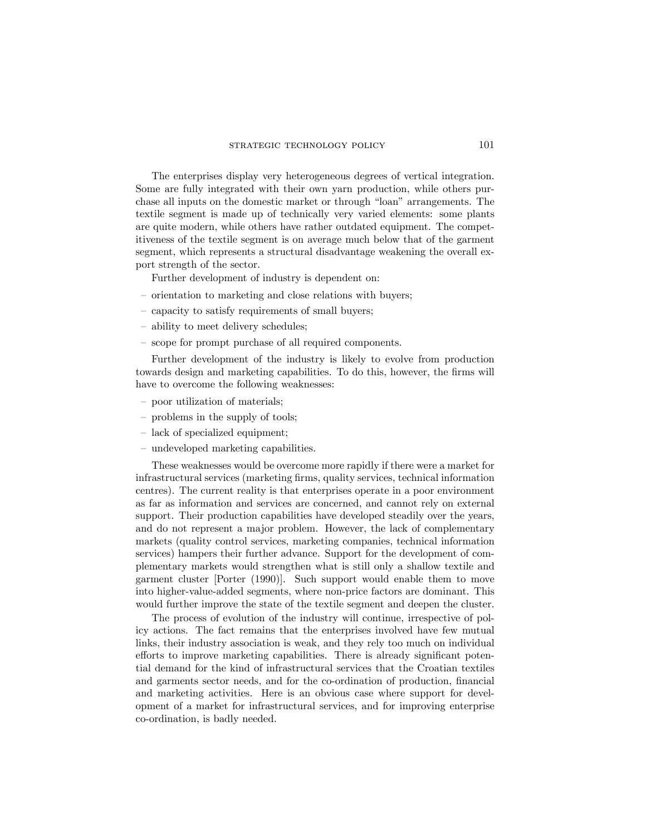## strategic technology policy 101

The enterprises display very heterogeneous degrees of vertical integration. Some are fully integrated with their own yarn production, while others purchase all inputs on the domestic market or through "loan" arrangements. The textile segment is made up of technically very varied elements: some plants are quite modern, while others have rather outdated equipment. The competitiveness of the textile segment is on average much below that of the garment segment, which represents a structural disadvantage weakening the overall export strength of the sector.

Further development of industry is dependent on:

- $-$  orientation to marketing and close relations with buyers;
- { capacity to satisfy requirements of small buyers;
- $=$  ability to meet delivery schedules;
- $=$  scope for prompt purchase of all required components.

Further development of the industry is likely to evolve from production towards design and marketing capabilities. To do this, however, the firms will have to overcome the following weaknesses:

- { poor utilization of materials;
- problems in the supply of tools;
- lack of specialized equipment;
- undeveloped marketing capabilities.

These weaknesses would be overcome more rapidly if there were a market for infrastructural services (marketing firms, quality services, technical information centres). The current reality is that enterprises operate in a poor environment as far as information and services are concerned, and cannot rely on external support. Their production capabilities have developed steadily over the years, and do not represent a major problem. However, the lack of complementary markets (quality control services, marketing companies, technical information services) hampers their further advance. Support for the development of complementary markets would strengthen what is still only a shallow textile and garment cluster [Porter (1990)]. Such support would enable them to move into higher-value-added segments, where non-price factors are dominant. This would further improve the state of the textile segment and deepen the cluster.

The process of evolution of the industry will continue, irrespective of policy actions. The fact remains that the enterprises involved have few mutual links, their industry association is weak, and they rely too much on individual efforts to improve marketing capabilities. There is already significant potential demand for the kind of infrastructural services that the Croatian textiles and garments sector needs, and for the co-ordination of production, financial and marketing activities. Here is an obvious case where support for development of a market for infrastructural services, and for improving enterprise co-ordination, is badly needed.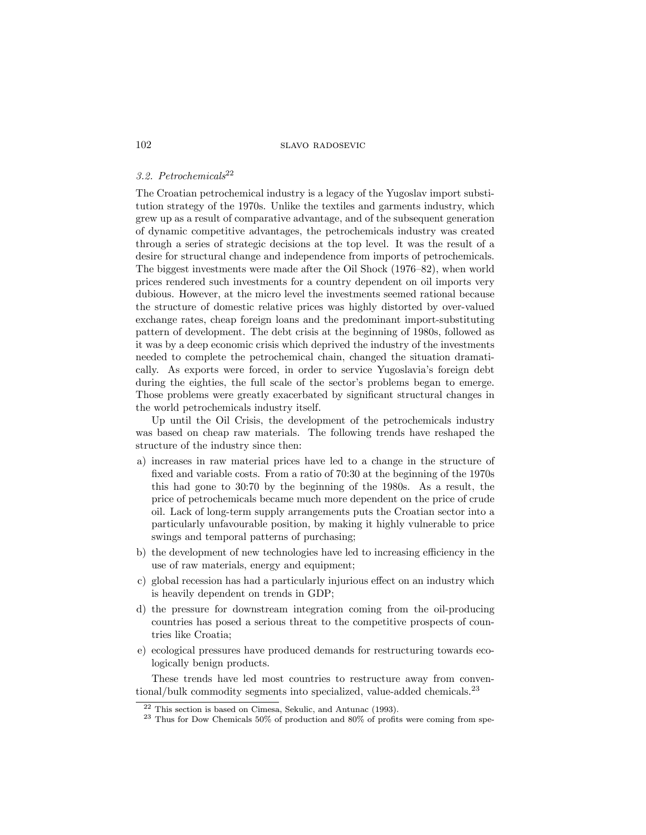# 3.2. Petrochemicals<sup>22</sup>

The Croatian petrochemical industry is a legacy of the Yugoslav import substitution strategy of the 1970s. Unlike the textiles and garments industry, which grew up as a result of comparative advantage, and of the subsequent generation of dynamic competitive advantages, the petrochemicals industry was created through a series of strategic decisions at the top level. It was the result of a desire for structural change and independence from imports of petrochemicals. The biggest investments were made after the Oil Shock  $(1976{-}82)$ , when world prices rendered such investments for a country dependent on oil imports very dubious. However, at the micro level the investments seemed rational because the structure of domestic relative prices was highly distorted by over-valued exchange rates, cheap foreign loans and the predominant import-substituting pattern of development. The debt crisis at the beginning of 1980s, followed as it was by a deep economic crisis which deprived the industry of the investments needed to complete the petrochemical chain, changed the situation dramatically. As exports were forced, in order to service Yugoslavia's foreign debt during the eighties, the full scale of the sector's problems began to emerge. Those problems were greatly exacerbated by signicant structural changes in the world petrochemicals industry itself.

Up until the Oil Crisis, the development of the petrochemicals industry was based on cheap raw materials. The following trends have reshaped the structure of the industry since then:

- a) increases in raw material prices have led to a change in the structure of xed and variable costs. From a ratio of 70:30 at the beginning of the 1970s this had gone to 30:70 by the beginning of the 1980s. As a result, the price of petrochemicals became much more dependent on the price of crude oil. Lack of long-term supply arrangements puts the Croatian sector into a particularly unfavourable position, by making it highly vulnerable to price swings and temporal patterns of purchasing;
- b) the development of new technologies have led to increasing efficiency in the use of raw materials, energy and equipment;
- c) global recession has had a particularly injurious effect on an industry which is heavily dependent on trends in GDP;
- d) the pressure for downstream integration coming from the oil-producing countries has posed a serious threat to the competitive prospects of countries like Croatia;
- e) ecological pressures have produced demands for restructuring towards ecologically benign products.

These trends have led most countries to restructure away from conventional/bulk commodity segments into specialized, value-added chemicals.<sup>23</sup>

<sup>22</sup> This section is based on Cimesa, Sekulic, and Antunac (1993).

 $23$  Thus for Dow Chemicals  $50\%$  of production and  $80\%$  of profits were coming from spe-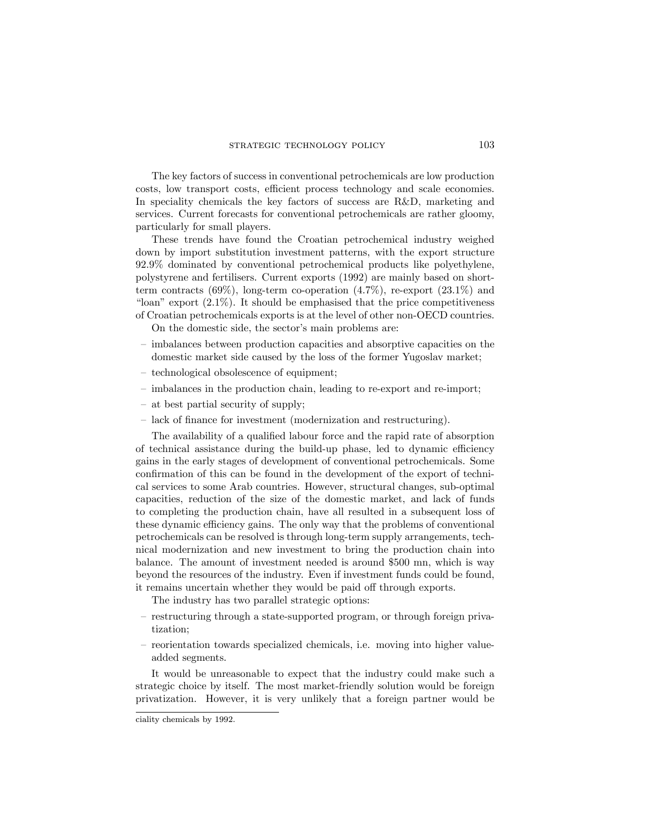The key factors of success in conventional petrochemicals are low production costs, low transport costs, efficient process technology and scale economies. In speciality chemicals the key factors of success are R&D, marketing and services. Current forecasts for conventional petrochemicals are rather gloomy, particularly for small players.

These trends have found the Croatian petrochemical industry weighed down by import substitution investment patterns, with the export structure 92.9% dominated by conventional petrochemical products like polyethylene, polystyrene and fertilisers. Current exports (1992) are mainly based on shortterm contracts  $(69\%)$ , long-term co-operation  $(4.7\%)$ , re-export  $(23.1\%)$  and " $\lvert \text{Oan} \rvert$ " export (2.1%). It should be emphasised that the price competitiveness of Croatian petrochemicals exports is at the level of other non-OECD countries.

On the domestic side, the sector's main problems are:

- { imbalances between production capacities and absorptive capacities on the domestic market side caused by the loss of the former Yugoslav market;
- technological obsolescence of equipment;
- { imbalances in the production chain, leading to re-export and re-import;
- at best partial security of supply;
- $\sim$  lack of finance for investment (modernization and restructuring).

The availability of a qualified labour force and the rapid rate of absorption of technical assistance during the build-up phase, led to dynamic efficiency gains in the early stages of development of conventional petrochemicals. Some confirmation of this can be found in the development of the export of technical services to some Arab countries. However, structural changes, sub-optimal capacities, reduction of the size of the domestic market, and lack of funds to completing the production chain, have all resulted in a subsequent loss of these dynamic efficiency gains. The only way that the problems of conventional petrochemicals can be resolved is through long-term supply arrangements, technical modernization and new investment to bring the production chain into balance. The amount of investment needed is around \$500 mn, which is way beyond the resources of the industry. Even if investment funds could be found, it remains uncertain whether they would be paid off through exports.

The industry has two parallel strategic options:

- { restructuring through a state-supported program, or through foreign privatization;
- { reorientation towards specialized chemicals, i.e. moving into higher valueadded segments.

It would be unreasonable to expect that the industry could make such a strategic choice by itself. The most market-friendly solution would be foreign privatization. However, it is very unlikely that a foreign partner would be

ciality chemicals by 1992.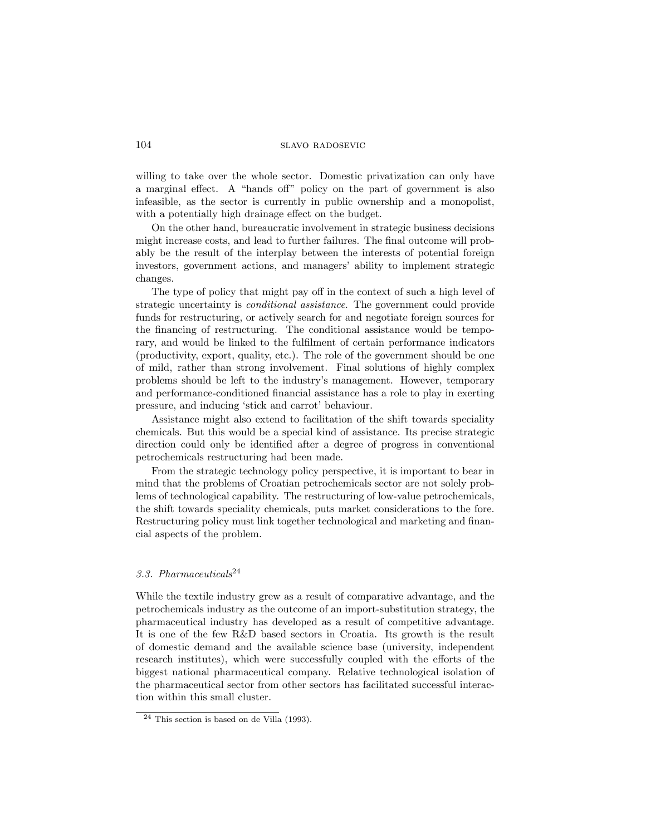willing to take over the whole sector. Domestic privatization can only have a marginal effect. A "hands off" policy on the part of government is also infeasible, as the sector is currently in public ownership and a monopolist, with a potentially high drainage effect on the budget.

On the other hand, bureaucratic involvement in strategic business decisions might increase costs, and lead to further failures. The final outcome will probably be the result of the interplay between the interests of potential foreign investors, government actions, and managers' ability to implement strategic changes.

The type of policy that might pay off in the context of such a high level of strategic uncertainty is conditional assistance. The government could provide funds for restructuring, or actively search for and negotiate foreign sources for the financing of restructuring. The conditional assistance would be temporary, and would be linked to the fulfilment of certain performance indicators (productivity, export, quality, etc.). The role of the government should be one of mild, rather than strong involvement. Final solutions of highly complex problems should be left to the industry's management. However, temporary and performance-conditioned nancial assistance has a role to play in exerting pressure, and inducing `stick and carrot' behaviour.

Assistance might also extend to facilitation of the shift towards speciality chemicals. But this would be a special kind of assistance. Its precise strategic direction could only be identified after a degree of progress in conventional petrochemicals restructuring had been made.

From the strategic technology policy perspective, it is important to bear in mind that the problems of Croatian petrochemicals sector are not solely problems of technological capability. The restructuring of low-value petrochemicals, the shift towards speciality chemicals, puts market considerations to the fore. Restructuring policy must link together technological and marketing and financial aspects of the problem.

# 3.3. Pharmaceuticals<sup>24</sup>

While the textile industry grew as a result of comparative advantage, and the petrochemicals industry as the outcome of an import-substitution strategy, the pharmaceutical industry has developed as a result of competitive advantage. It is one of the few R&D based sectors in Croatia. Its growth is the result of domestic demand and the available science base (university, independent research institutes), which were successfully coupled with the efforts of the biggest national pharmaceutical company. Relative technological isolation of the pharmaceutical sector from other sectors has facilitated successful interaction within this small cluster.

<sup>24</sup> This section is based on de Villa (1993).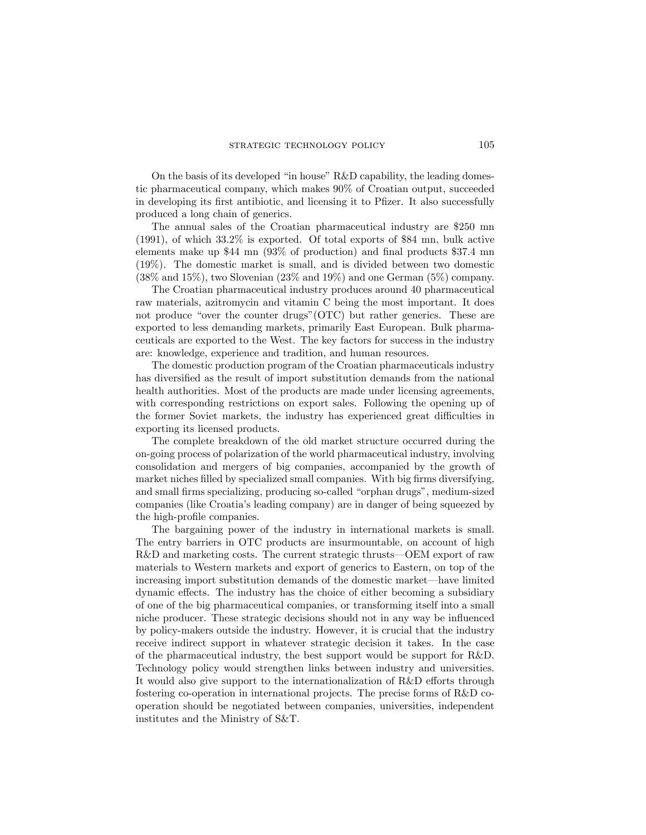On the basis of its developed "in house"  $R&D$  capability, the leading domestic pharmaceutical company, which makes 90% of Croatian output, succeeded in developing its first antibiotic, and licensing it to Pfizer. It also successfully produced a long chain of generics.

The annual sales of the Croatian pharmaceutical industry are \$250 mn (1991), of which 33.2% is exported. Of total exports of \$84 mn, bulk active elements make up  $$44 \text{ mn} (93\% \text{ of production})$  and final products  $$37.4 \text{ mn}$ (19%). The domestic market is small, and is divided between two domestic  $(38\% \text{ and } 15\%)$ , two Slovenian  $(23\% \text{ and } 19\%)$  and one German  $(5\%)$  company.

The Croatian pharmaceutical industry produces around 40 pharmaceutical raw materials, azitromycin and vitamin C being the most important. It does not produce "over the counter drugs"  $(OTC)$  but rather generics. These are exported to less demanding markets, primarily East European. Bulk pharmaceuticals are exported to the West. The key factors for success in the industry are: knowledge, experience and tradition, and human resources.

The domestic production program of the Croatian pharmaceuticals industry has diversied as the result of import substitution demands from the national health authorities. Most of the products are made under licensing agreements, with corresponding restrictions on export sales. Following the opening up of the former Soviet markets, the industry has experienced great difficulties in exporting its licensed products.

The complete breakdown of the old market structure occurred during the on-going process of polarization of the world pharmaceutical industry, involving consolidation and mergers of big companies, accompanied by the growth of market niches filled by specialized small companies. With big firms diversifying, and small firms specializing, producing so-called "orphan drugs", medium-sized companies (like Croatia's leading company) are in danger of being squeezed by the high-profile companies.

The bargaining power of the industry in international markets is small. The entry barriers in OTC products are insurmountable, on account of high  $R&D$  and marketing costs. The current strategic thrusts—OEM export of raw materials to Western markets and export of generics to Eastern, on top of the increasing import substitution demands of the domestic market—have limited dynamic effects. The industry has the choice of either becoming a subsidiary of one of the big pharmaceutical companies, or transforming itself into a small niche producer. These strategic decisions should not in any way be influenced by policy-makers outside the industry. However, it is crucial that the industry receive indirect support in whatever strategic decision it takes. In the case of the pharmaceutical industry, the best support would be support for R&D. Technology policy would strengthen links between industry and universities. It would also give support to the internationalization of  $R\&D$  efforts through fostering co-operation in international projects. The precise forms of R&D cooperation should be negotiated between companies, universities, independent institutes and the Ministry of S&T.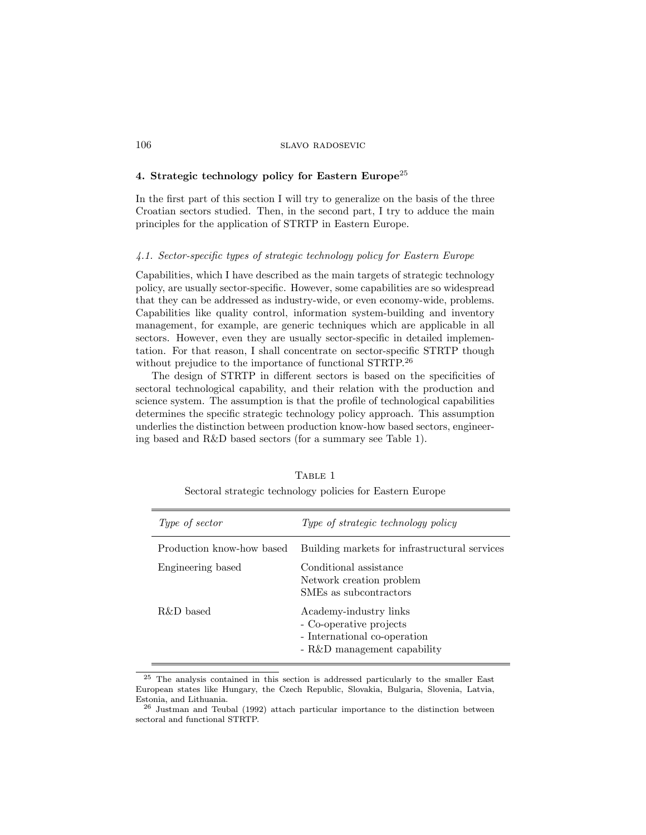## 4. Strategic technology policy for Eastern Europe<sup>25</sup>

In the first part of this section I will try to generalize on the basis of the three Croatian sectors studied. Then, in the second part, I try to adduce the main principles for the application of STRTP in Eastern Europe.

#### 4.1. Sector-specic types of strategic technology policy for Eastern Europe

Capabilities, which I have described as the main targets of strategic technology policy, are usually sector-specic. However, some capabilities are so widespread that they can be addressed as industry-wide, or even economy-wide, problems. Capabilities like quality control, information system-building and inventory management, for example, are generic techniques which are applicable in all sectors. However, even they are usually sector-specific in detailed implementation. For that reason, I shall concentrate on sector-specic STRTP though without prejudice to the importance of functional STRTP.<sup>26</sup>

The design of STRTP in different sectors is based on the specificities of sectoral technological capability, and their relation with the production and science system. The assumption is that the profile of technological capabilities determines the specic strategic technology policy approach. This assumption underlies the distinction between production know-how based sectors, engineering based and R&D based sectors (for a summary see Table 1).

| Type of sector            | Type of strategic technology policy                                                                              |
|---------------------------|------------------------------------------------------------------------------------------------------------------|
| Production know-how based | Building markets for infrastructural services                                                                    |
| Engineering based         | Conditional assistance<br>Network creation problem<br>SMEs as subcontractors                                     |
| R&D based                 | Academy-industry links<br>- Co-operative projects<br>- International co-operation<br>- R&D management capability |

TABLE 1 Sectoral strategic technology policies for Eastern Europe

<sup>25</sup> The analysis contained in this section is addressed particularly to the smaller East European states like Hungary, the Czech Republic, Slovakia, Bulgaria, Slovenia, Latvia, Estonia, and Lithuania.

<sup>26</sup> Justman and Teubal (1992) attach particular importance to the distinction between sectoral and functional STRTP.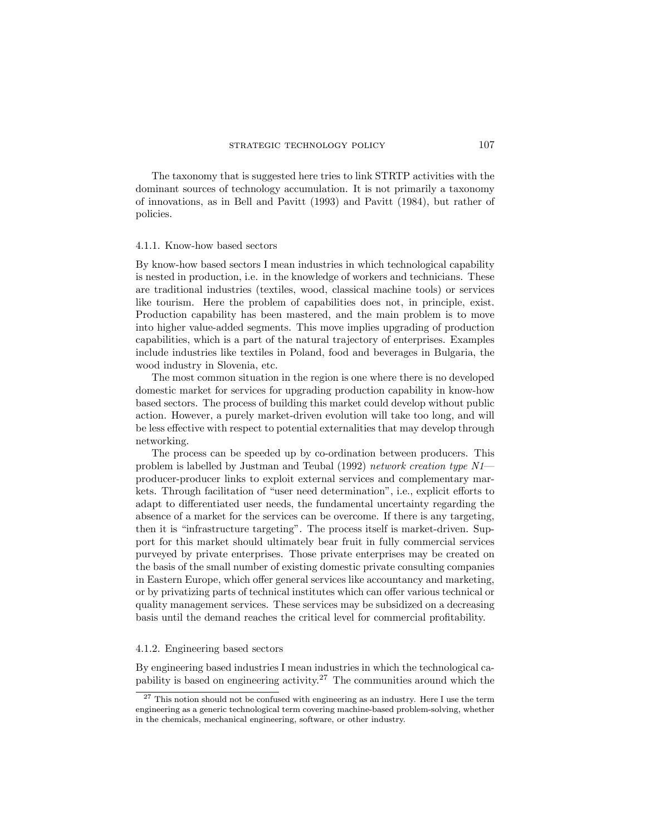The taxonomy that is suggested here tries to link STRTP activities with the dominant sources of technology accumulation. It is not primarily a taxonomy of innovations, as in Bell and Pavitt (1993) and Pavitt (1984), but rather of policies.

#### 4.1.1. Know-how based sectors

By know-how based sectors I mean industries in which technological capability is nested in production, i.e. in the knowledge of workers and technicians. These are traditional industries (textiles, wood, classical machine tools) or services like tourism. Here the problem of capabilities does not, in principle, exist. Production capability has been mastered, and the main problem is to move into higher value-added segments. This move implies upgrading of production capabilities, which is a part of the natural trajectory of enterprises. Examples include industries like textiles in Poland, food and beverages in Bulgaria, the wood industry in Slovenia, etc.

The most common situation in the region is one where there is no developed domestic market for services for upgrading production capability in know-how based sectors. The process of building this market could develop without public action. However, a purely market-driven evolution will take too long, and will be less effective with respect to potential externalities that may develop through networking.

The process can be speeded up by co-ordination between producers. This problem is labelled by Justman and Teubal (1992) network creation type N1producer-producer links to exploit external services and complementary markets. Through facilitation of "user need determination", i.e., explicit efforts to adapt to differentiated user needs, the fundamental uncertainty regarding the absence of a market for the services can be overcome. If there is any targeting, then it is "infrastructure targeting". The process itself is market-driven. Support for this market should ultimately bear fruit in fully commercial services purveyed by private enterprises. Those private enterprises may be created on the basis of the small number of existing domestic private consulting companies in Eastern Europe, which offer general services like accountancy and marketing, or by privatizing parts of technical institutes which can offer various technical or quality management services. These services may be subsidized on a decreasing basis until the demand reaches the critical level for commercial protability.

#### 4.1.2. Engineering based sectors

By engineering based industries I mean industries in which the technological capability is based on engineering activity.<sup>27</sup> The communities around which the

 $27$  This notion should not be confused with engineering as an industry. Here I use the term engineering as a generic technological term covering machine-based problem-solving, whether in the chemicals, mechanical engineering, software, or other industry.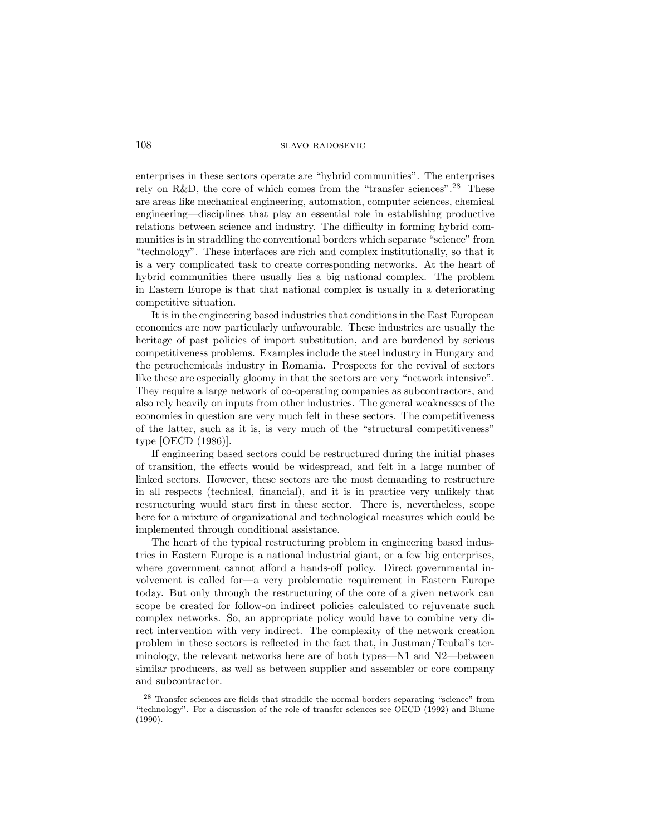## 108 slavo radosevic

enterprises in these sectors operate are \hybrid communities". The enterprises rely on R&D, the core of which comes from the "transfer sciences".<sup>28</sup> These are areas like mechanical engineering, automation, computer sciences, chemical engineering—disciplines that play an essential role in establishing productive relations between science and industry. The difficulty in forming hybrid communities is in straddling the conventional borders which separate "science" from \technology". These interfaces are rich and complex institutionally, so that it is a very complicated task to create corresponding networks. At the heart of hybrid communities there usually lies a big national complex. The problem in Eastern Europe is that that national complex is usually in a deteriorating competitive situation.

It is in the engineering based industries that conditions in the East European economies are now particularly unfavourable. These industries are usually the heritage of past policies of import substitution, and are burdened by serious competitiveness problems. Examples include the steel industry in Hungary and the petrochemicals industry in Romania. Prospects for the revival of sectors like these are especially gloomy in that the sectors are very "network intensive". They require a large network of co-operating companies as subcontractors, and also rely heavily on inputs from other industries. The general weaknesses of the economies in question are very much felt in these sectors. The competitiveness of the latter, such as it is, is very much of the "structural competitiveness" type [OECD (1986)].

If engineering based sectors could be restructured during the initial phases of transition, the effects would be widespread, and felt in a large number of linked sectors. However, these sectors are the most demanding to restructure in all respects (technical, financial), and it is in practice very unlikely that restructuring would start first in these sector. There is, nevertheless, scope here for a mixture of organizational and technological measures which could be implemented through conditional assistance.

The heart of the typical restructuring problem in engineering based industries in Eastern Europe is a national industrial giant, or a few big enterprises, where government cannot afford a hands-off policy. Direct governmental involvement is called for-a very problematic requirement in Eastern Europe today. But only through the restructuring of the core of a given network can scope be created for follow-on indirect policies calculated to rejuvenate such complex networks. So, an appropriate policy would have to combine very direct intervention with very indirect. The complexity of the network creation problem in these sectors is reflected in the fact that, in Justman/Teubal's terminology, the relevant networks here are of both types—N1 and  $N2$ —between similar producers, as well as between supplier and assembler or core company and subcontractor.

 $28$  Transfer sciences are fields that straddle the normal borders separating "science" from "technology". For a discussion of the role of transfer sciences see OECD  $(1992)$  and Blume (1990).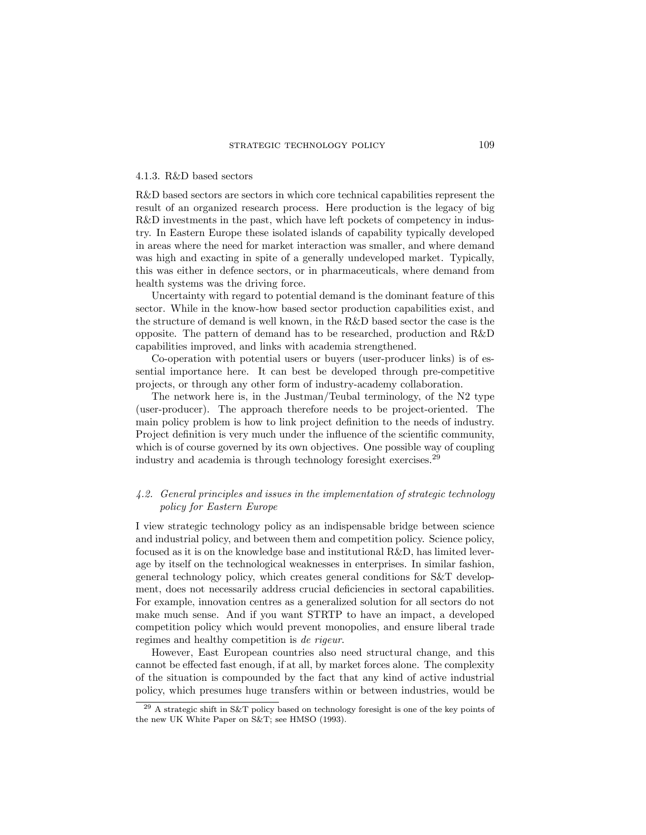#### 4.1.3. R&D based sectors

R&D based sectors are sectors in which core technical capabilities represent the result of an organized research process. Here production is the legacy of big R&D investments in the past, which have left pockets of competency in industry. In Eastern Europe these isolated islands of capability typically developed in areas where the need for market interaction was smaller, and where demand was high and exacting in spite of a generally undeveloped market. Typically, this was either in defence sectors, or in pharmaceuticals, where demand from health systems was the driving force.

Uncertainty with regard to potential demand is the dominant feature of this sector. While in the know-how based sector production capabilities exist, and the structure of demand is well known, in the R&D based sector the case is the opposite. The pattern of demand has to be researched, production and R&D capabilities improved, and links with academia strengthened.

Co-operation with potential users or buyers (user-producer links) is of essential importance here. It can best be developed through pre-competitive projects, or through any other form of industry-academy collaboration.

The network here is, in the Justman/Teubal terminology, of the N2 type (user-producer). The approach therefore needs to be project-oriented. The main policy problem is how to link project definition to the needs of industry. Project definition is very much under the influence of the scientific community, which is of course governed by its own objectives. One possible way of coupling industry and academia is through technology foresight exercises.<sup>29</sup>

# 4.2. General principles and issues in the implementation of strategic technology policy for Eastern Europe

I view strategic technology policy as an indispensable bridge between science and industrial policy, and between them and competition policy. Science policy, focused as it is on the knowledge base and institutional R&D, has limited leverage by itself on the technological weaknesses in enterprises. In similar fashion, general technology policy, which creates general conditions for S&T development, does not necessarily address crucial deficiencies in sectoral capabilities. For example, innovation centres as a generalized solution for all sectors do not make much sense. And if you want STRTP to have an impact, a developed competition policy which would prevent monopolies, and ensure liberal trade regimes and healthy competition is de rigeur.

However, East European countries also need structural change, and this cannot be effected fast enough, if at all, by market forces alone. The complexity of the situation is compounded by the fact that any kind of active industrial policy, which presumes huge transfers within or between industries, would be

<sup>29</sup> A strategic shift in S&T policy based on technology foresight is one of the key points of the new UK White Paper on S&T; see HMSO (1993).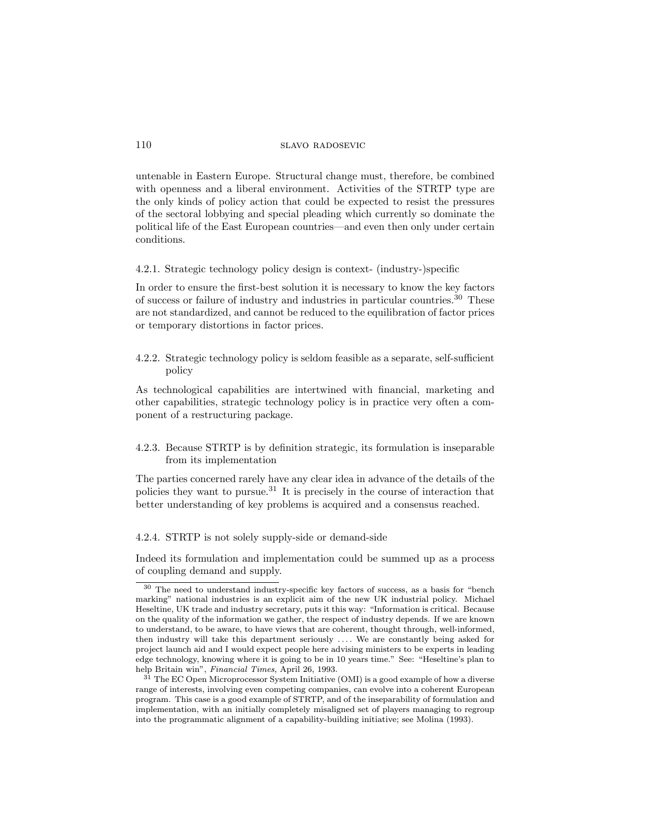untenable in Eastern Europe. Structural change must, therefore, be combined with openness and a liberal environment. Activities of the STRTP type are the only kinds of policy action that could be expected to resist the pressures of the sectoral lobbying and special pleading which currently so dominate the political life of the East European countries—and even then only under certain conditions.

4.2.1. Strategic technology policy design is context- (industry-)specic

In order to ensure the first-best solution it is necessary to know the key factors of success or failure of industry and industries in particular countries.<sup>30</sup> These are not standardized, and cannot be reduced to the equilibration of factor prices or temporary distortions in factor prices.

4.2.2. Strategic technology policy is seldom feasible as a separate, self-sufficient policy

As technological capabilities are intertwined with nancial, marketing and other capabilities, strategic technology policy is in practice very often a component of a restructuring package.

4.2.3. Because STRTP is by definition strategic, its formulation is inseparable from its implementation

The parties concerned rarely have any clear idea in advance of the details of the policies they want to pursue.<sup>31</sup> It is precisely in the course of interaction that better understanding of key problems is acquired and a consensus reached.

4.2.4. STRTP is not solely supply-side or demand-side

Indeed its formulation and implementation could be summed up as a process of coupling demand and supply.

 $30$  The need to understand industry-specific key factors of success, as a basis for "bench marking" national industries is an explicit aim of the new UK industrial policy. Michael Heseltine, UK trade and industry secretary, puts it this way: \Information is critical. Because on the quality of the information we gather, the respect of industry depends. If we are known to understand, to be aware, to have views that are coherent, thought through, well-informed, then industry will take this department seriously .... We are constantly being asked for project launch aid and I would expect people here advising ministers to be experts in leading edge technology, knowing where it is going to be in 10 years time." See: "Heseltine's plan to help Britain win", Financial Times, April 26, 1993.

<sup>31</sup> The EC Open Microprocessor System Initiative (OMI) is a good example of how a diverse range of interests, involving even competing companies, can evolve into a coherent European program. This case is a good example of STRTP, and of the inseparability of formulation and implementation, with an initially completely misaligned set of players managing to regroup into the programmatic alignment of a capability-building initiative; see Molina (1993).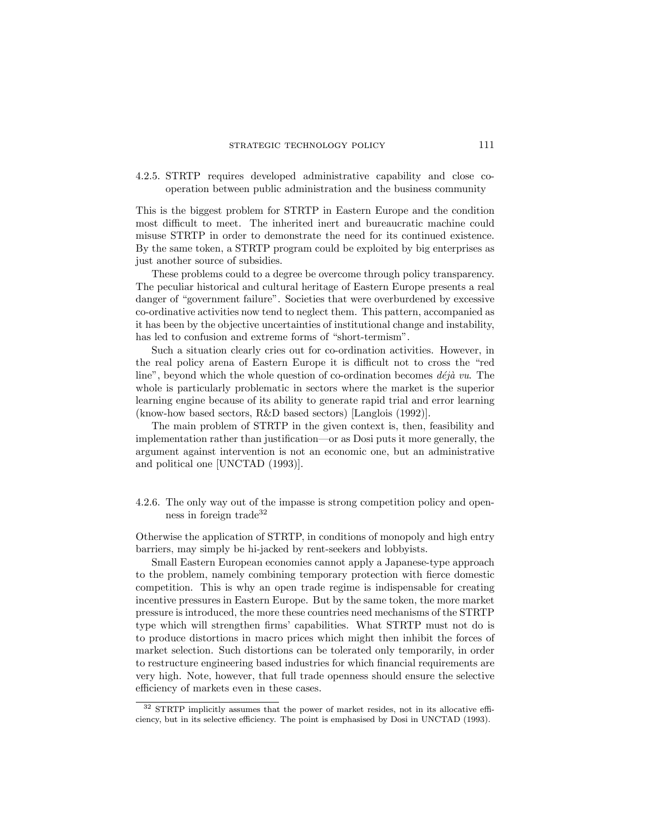4.2.5. STRTP requires developed administrative capability and close cooperation between public administration and the business community

This is the biggest problem for STRTP in Eastern Europe and the condition most difficult to meet. The inherited inert and bureaucratic machine could misuse STRTP in order to demonstrate the need for its continued existence. By the same token, a STRTP program could be exploited by big enterprises as just another source of subsidies.

These problems could to a degree be overcome through policy transparency. The peculiar historical and cultural heritage of Eastern Europe presents a real danger of "government failure". Societies that were overburdened by excessive co-ordinative activities now tend to neglect them. This pattern, accompanied as it has been by the objective uncertainties of institutional change and instability, has led to confusion and extreme forms of "short-termism".

Such a situation clearly cries out for co-ordination activities. However, in the real policy arena of Eastern Europe it is difficult not to cross the "red line", beyond which the whole question of co-ordination becomes  $d\acute{e}j\grave{a}$  vu. The whole is particularly problematic in sectors where the market is the superior learning engine because of its ability to generate rapid trial and error learning (know-how based sectors, R&D based sectors) [Langlois (1992)].

The main problem of STRTP in the given context is, then, feasibility and implementation rather than justification—or as Dosi puts it more generally, the argument against intervention is not an economic one, but an administrative and political one [UNCTAD (1993)].

4.2.6. The only way out of the impasse is strong competition policy and openness in foreign trade<sup>32</sup>

Otherwise the application of STRTP, in conditions of monopoly and high entry barriers, may simply be hi-jacked by rent-seekers and lobbyists.

Small Eastern European economies cannot apply a Japanese-type approach to the problem, namely combining temporary protection with fierce domestic competition. This is why an open trade regime is indispensable for creating incentive pressures in Eastern Europe. But by the same token, the more market pressure is introduced, the more these countries need mechanisms of the STRTP type which will strengthen firms' capabilities. What STRTP must not do is to produce distortions in macro prices which might then inhibit the forces of market selection. Such distortions can be tolerated only temporarily, in order to restructure engineering based industries for which financial requirements are very high. Note, however, that full trade openness should ensure the selective efficiency of markets even in these cases.

 $32$  STRTP implicitly assumes that the power of market resides, not in its allocative efficiency, but in its selective efficiency. The point is emphasised by Dosi in UNCTAD (1993).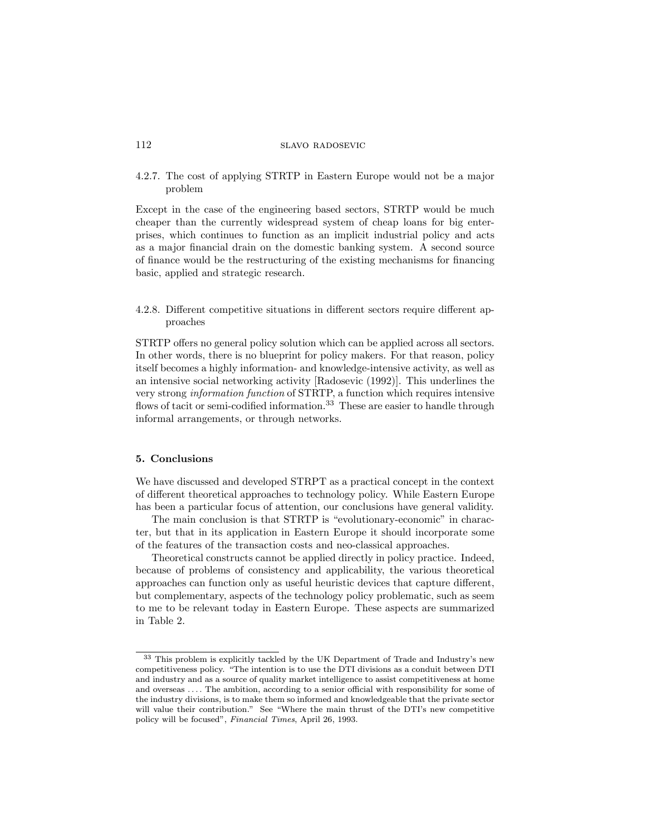4.2.7. The cost of applying STRTP in Eastern Europe would not be a major problem

Except in the case of the engineering based sectors, STRTP would be much cheaper than the currently widespread system of cheap loans for big enterprises, which continues to function as an implicit industrial policy and acts as a major financial drain on the domestic banking system. A second source of finance would be the restructuring of the existing mechanisms for financing basic, applied and strategic research.

4.2.8. Different competitive situations in different sectors require different approaches

STRTP offers no general policy solution which can be applied across all sectors. In other words, there is no blueprint for policy makers. For that reason, policy itself becomes a highly information- and knowledge-intensive activity, as well as an intensive social networking activity [Radosevic (1992)]. This underlines the very strong information function of STRTP, a function which requires intensive flows of tacit or semi-codified information.<sup>33</sup> These are easier to handle through informal arrangements, or through networks.

## 5. Conclusions

We have discussed and developed STRPT as a practical concept in the context of dierent theoretical approaches to technology policy. While Eastern Europe has been a particular focus of attention, our conclusions have general validity.

The main conclusion is that STRTP is "evolutionary-economic" in character, but that in its application in Eastern Europe it should incorporate some of the features of the transaction costs and neo-classical approaches.

Theoretical constructs cannot be applied directly in policy practice. Indeed, because of problems of consistency and applicability, the various theoretical approaches can function only as useful heuristic devices that capture different, but complementary, aspects of the technology policy problematic, such as seem to me to be relevant today in Eastern Europe. These aspects are summarized in Table 2.

<sup>33</sup> This problem is explicitly tackled by the UK Department of Trade and Industry's new competitiveness policy. "The intention is to use the DTI divisions as a conduit between DTI and industry and as a source of quality market intelligence to assist competitiveness at home and overseas .... The ambition, according to a senior official with responsibility for some of the industry divisions, is to make them so informed and knowledgeable that the private sector will value their contribution." See "Where the main thrust of the DTI's new competitive policy will be focused", Financial Times, April 26, 1993.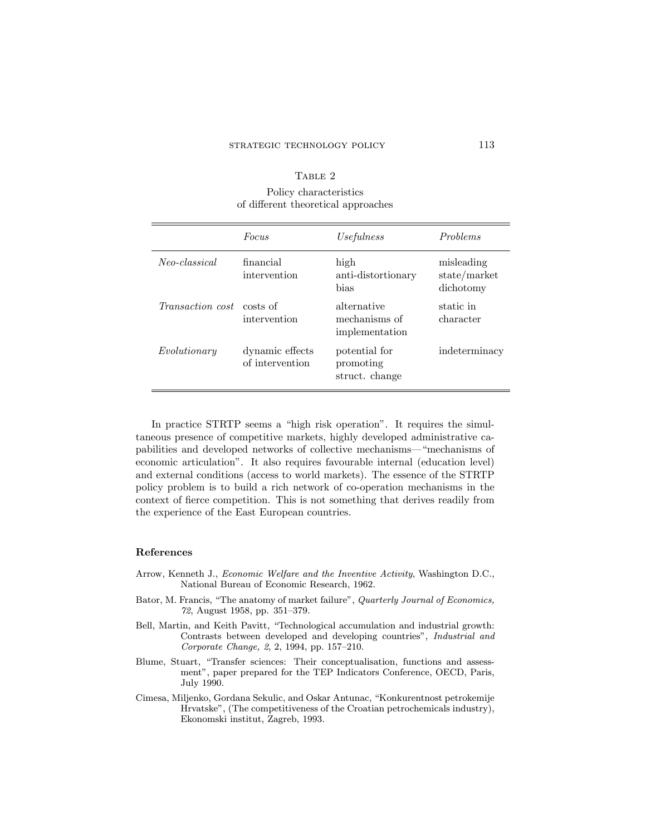## TABLE 2

# Policy characteristics of different theoretical approaches

|                                  | Focus                              | <i>Usefulness</i>                              | Problems                                |
|----------------------------------|------------------------------------|------------------------------------------------|-----------------------------------------|
| Neo-classical                    | financial<br>intervention          | high<br>anti-distortionary<br>hias             | misleading<br>state/market<br>dichotomy |
| <i>Transaction cost</i> costs of | intervention                       | alternative<br>mechanisms of<br>implementation | static in<br>character                  |
| Evolutionary                     | dynamic effects<br>of intervention | potential for<br>promoting<br>struct. change   | indeterminacy                           |

In practice STRTP seems a "high risk operation". It requires the simultaneous presence of competitive markets, highly developed administrative capabilities and developed networks of collective mechanisms—"mechanisms of economic articulation". It also requires favourable internal (education level) and external conditions (access to world markets). The essence of the STRTP policy problem is to build a rich network of co-operation mechanisms in the context of fierce competition. This is not something that derives readily from the experience of the East European countries.

# References

- Arrow, Kenneth J., Economic Welfare and the Inventive Activity, Washington D.C., National Bureau of Economic Research, 1962.
- Bator, M. Francis, "The anatomy of market failure", Quarterly Journal of Economics, 72, August 1958, pp. 351-379.
- Bell, Martin, and Keith Pavitt, "Technological accumulation and industrial growth: Contrasts between developed and developing countries", Industrial and Corporate Change, 2, 2, 1994, pp. 157-210.
- Blume, Stuart, "Transfer sciences: Their conceptualisation, functions and assessment", paper prepared for the TEP Indicators Conference, OECD, Paris, July 1990.
- Cimesa, Miljenko, Gordana Sekulic, and Oskar Antunac, "Konkurentnost petrokemije Hrvatske", (The competitiveness of the Croatian petrochemicals industry), Ekonomski institut, Zagreb, 1993.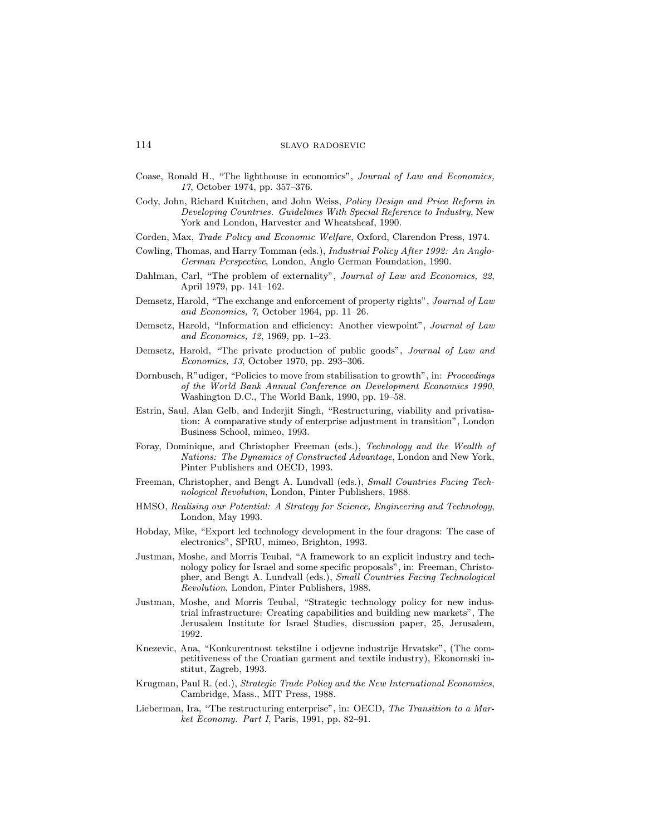- Coase, Ronald H., "The lighthouse in economics", Journal of Law and Economics, 17, October 1974, pp. 357-376.
- Cody, John, Richard Kuitchen, and John Weiss, Policy Design and Price Reform in Developing Countries. Guidelines With Special Reference to Industry, New York and London, Harvester and Wheatsheaf, 1990.
- Corden, Max, Trade Policy and Economic Welfare, Oxford, Clarendon Press, 1974.
- Cowling, Thomas, and Harry Tomman (eds.), Industrial Policy After 1992: An Anglo-German Perspective, London, Anglo German Foundation, 1990.
- Dahlman, Carl, "The problem of externality", Journal of Law and Economics, 22, April 1979, pp. 141-162.
- Demsetz, Harold, "The exchange and enforcement of property rights", Journal of Law and Economics,  $\gamma$ , October 1964, pp. 11-26.
- Demsetz, Harold, "Information and efficiency: Another viewpoint", Journal of Law and Economics, 12, 1969, pp. 1-23.
- Demsetz, Harold, "The private production of public goods", Journal of Law and Economics, 13, October 1970, pp. 293-306.
- Dornbusch, R"udiger, "Policies to move from stabilisation to growth", in: Proceedings of the World Bank Annual Conference on Development Economics 1990, Washington D.C., The World Bank, 1990, pp. 19-58.
- Estrin, Saul, Alan Gelb, and Inderjit Singh, "Restructuring, viability and privatisation: A comparative study of enterprise adjustment in transition", London Business School, mimeo, 1993.
- Foray, Dominique, and Christopher Freeman (eds.), Technology and the Wealth of Nations: The Dynamics of Constructed Advantage, London and New York, Pinter Publishers and OECD, 1993.
- Freeman, Christopher, and Bengt A. Lundvall (eds.), Small Countries Facing Technological Revolution, London, Pinter Publishers, 1988.
- HMSO, Realising our Potential: A Strategy for Science, Engineering and Technology, London, May 1993.
- Hobday, Mike, "Export led technology development in the four dragons: The case of electronics", SPRU, mimeo, Brighton, 1993.
- Justman, Moshe, and Morris Teubal, \A framework to an explicit industry and technology policy for Israel and some specic proposals", in: Freeman, Christopher, and Bengt A. Lundvall (eds.), Small Countries Facing Technological Revolution, London, Pinter Publishers, 1988.
- Justman, Moshe, and Morris Teubal, "Strategic technology policy for new industrial infrastructure: Creating capabilities and building new markets", The Jerusalem Institute for Israel Studies, discussion paper, 25, Jerusalem, 1992.
- Knezevic, Ana, "Konkurentnost tekstilne i odjevne industrije Hrvatske", (The competitiveness of the Croatian garment and textile industry), Ekonomski institut, Zagreb, 1993.
- Krugman, Paul R. (ed.), Strategic Trade Policy and the New International Economics, Cambridge, Mass., MIT Press, 1988.
- Lieberman, Ira, "The restructuring enterprise", in: OECD, The Transition to a Mar $ket\;Economy.$  Part I, Paris, 1991, pp. 82-91.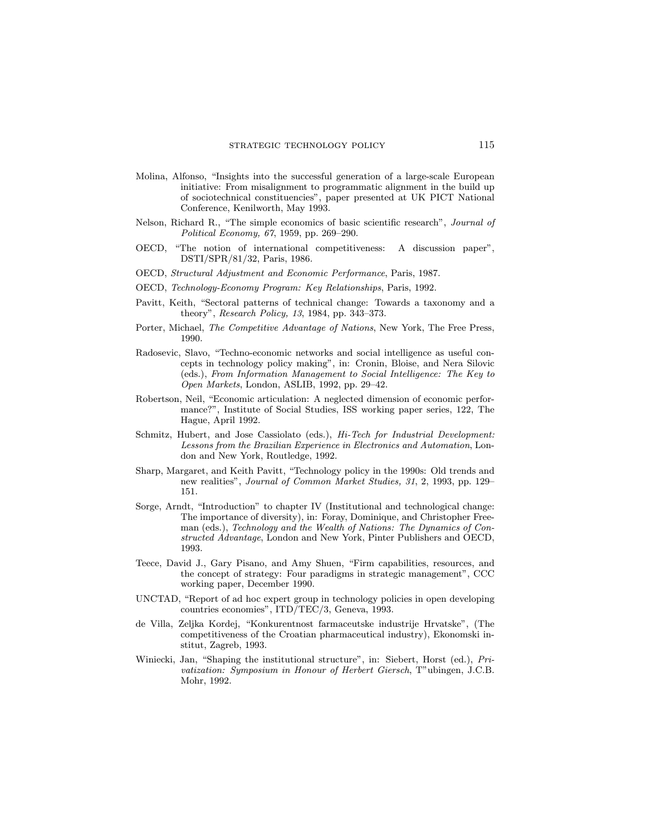- Molina, Alfonso, "Insights into the successful generation of a large-scale European initiative: From misalignment to programmatic alignment in the build up of sociotechnical constituencies", paper presented at UK PICT National Conference, Kenilworth, May 1993.
- Nelson, Richard R., "The simple economics of basic scientific research", *Journal of* Political Economy,  $67, 1959,$  pp.  $269-290$ .
- OECD, \The notion of international competitiveness: A discussion paper", DSTI/SPR/81/32, Paris, 1986.
- OECD, Structural Adjustment and Economic Performance, Paris, 1987.
- OECD, Technology-Economy Program: Key Relationships, Paris, 1992.
- Pavitt, Keith, "Sectoral patterns of technical change: Towards a taxonomy and a theory", Research Policy,  $13, 1984$ , pp. 343-373.
- Porter, Michael, The Competitive Advantage of Nations, New York, The Free Press, 1990.
- Radosevic, Slavo, "Techno-economic networks and social intelligence as useful concepts in technology policy making", in: Cronin, Bloise, and Nera Silovic (eds.), From Information Management to Social Intelligence: The Key to Open Markets, London, ASLIB, 1992, pp.  $29-42$ .
- Robertson, Neil, "Economic articulation: A neglected dimension of economic performance?", Institute of Social Studies, ISS working paper series, 122, The Hague, April 1992.
- Schmitz, Hubert, and Jose Cassiolato (eds.), Hi-Tech for Industrial Development: Lessons from the Brazilian Experience in Electronics and Automation, London and New York, Routledge, 1992.
- Sharp, Margaret, and Keith Pavitt, \Technology policy in the 1990s: Old trends and new realities", Journal of Common Market Studies, 31, 2, 1993, pp. 129-151.
- Sorge, Arndt, "Introduction" to chapter IV (Institutional and technological change: The importance of diversity), in: Foray, Dominique, and Christopher Freeman (eds.), Technology and the Wealth of Nations: The Dynamics of Constructed Advantage, London and New York, Pinter Publishers and OECD, 1993.
- Teece, David J., Gary Pisano, and Amy Shuen, "Firm capabilities, resources, and the concept of strategy: Four paradigms in strategic management", CCC working paper, December 1990.
- $\text{UNCTAD}$ , "Report of ad hoc expert group in technology policies in open developing countries economies", ITD/TEC/3, Geneva, 1993.
- de Villa, Zeljka Kordej, "Konkurentnost farmaceutske industrije Hrvatske", (The competitiveness of the Croatian pharmaceutical industry), Ekonomski institut, Zagreb, 1993.
- Winiecki, Jan, "Shaping the institutional structure", in: Siebert, Horst (ed.),  $Pri$ vatization: Symposium in Honour of Herbert Giersch, T"ubingen, J.C.B. Mohr, 1992.